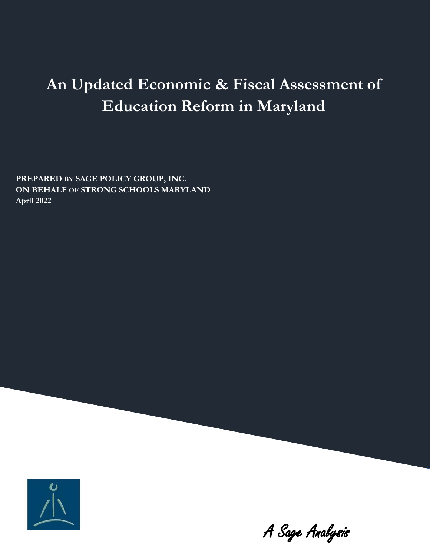# **An Updated Economic & Fiscal Assessment of Education Reform in Maryland**

**PREPARED BY SAGE POLICY GROUP, INC. ON BEHALF OF STRONG SCHOOLS MARYLAND April 2022**



A Sage Analysis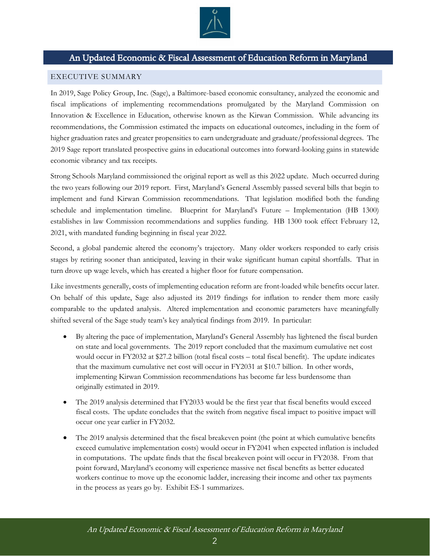

## An Updated Economic & Fiscal Assessment of Education Reform in Maryland

#### <span id="page-1-0"></span>EXECUTIVE SUMMARY

In 2019, Sage Policy Group, Inc. (Sage), a Baltimore-based economic consultancy, analyzed the economic and fiscal implications of implementing recommendations promulgated by the Maryland Commission on Innovation & Excellence in Education, otherwise known as the Kirwan Commission. While advancing its recommendations, the Commission estimated the impacts on educational outcomes, including in the form of higher graduation rates and greater propensities to earn undergraduate and graduate/professional degrees. The 2019 Sage report translated prospective gains in educational outcomes into forward-looking gains in statewide economic vibrancy and tax receipts.

Strong Schools Maryland commissioned the original report as well as this 2022 update. Much occurred during the two years following our 2019 report. First, Maryland's General Assembly passed several bills that begin to implement and fund Kirwan Commission recommendations. That legislation modified both the funding schedule and implementation timeline. Blueprint for Maryland's Future – Implementation (HB 1300) establishes in law Commission recommendations and supplies funding. HB 1300 took effect February 12, 2021, with mandated funding beginning in fiscal year 2022.

Second, a global pandemic altered the economy's trajectory. Many older workers responded to early crisis stages by retiring sooner than anticipated, leaving in their wake significant human capital shortfalls. That in turn drove up wage levels, which has created a higher floor for future compensation.

Like investments generally, costs of implementing education reform are front-loaded while benefits occur later. On behalf of this update, Sage also adjusted its 2019 findings for inflation to render them more easily comparable to the updated analysis. Altered implementation and economic parameters have meaningfully shifted several of the Sage study team's key analytical findings from 2019. In particular:

- By altering the pace of implementation, Maryland's General Assembly has lightened the fiscal burden on state and local governments. The 2019 report concluded that the maximum cumulative net cost would occur in FY2032 at \$27.2 billion (total fiscal costs – total fiscal benefit). The update indicates that the maximum cumulative net cost will occur in FY2031 at \$10.7 billion. In other words, implementing Kirwan Commission recommendations has become far less burdensome than originally estimated in 2019.
- The 2019 analysis determined that FY2033 would be the first year that fiscal benefits would exceed fiscal costs. The update concludes that the switch from negative fiscal impact to positive impact will occur one year earlier in FY2032.
- The 2019 analysis determined that the fiscal breakeven point (the point at which cumulative benefits exceed cumulative implementation costs) would occur in FY2041 when expected inflation is included in computations. The update finds that the fiscal breakeven point will occur in FY2038. From that point forward, Maryland's economy will experience massive net fiscal benefits as better educated workers continue to move up the economic ladder, increasing their income and other tax payments in the process as years go by. Exhibit ES-1 summarizes.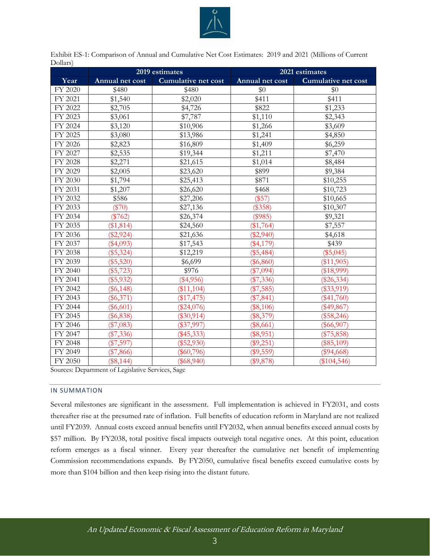

<span id="page-2-0"></span>

| Exhibit ES-1: Comparison of Annual and Cumulative Net Cost Estimates: 2019 and 2021 (Millions of Current |  |
|----------------------------------------------------------------------------------------------------------|--|
| Dollars)                                                                                                 |  |

|         | 2019 estimates  |                            | 2021 estimates    |                            |  |
|---------|-----------------|----------------------------|-------------------|----------------------------|--|
| Year    | Annual net cost | <b>Cumulative net cost</b> | Annual net cost   | <b>Cumulative net cost</b> |  |
| FY 2020 | \$480           | \$480                      | \$0               | \$0                        |  |
| FY 2021 | \$1,540         | \$2,020                    | \$411             | \$411                      |  |
| FY 2022 | \$2,705         | \$4,726                    | \$822             | \$1,233                    |  |
| FY 2023 | \$3,061         | \$7,787                    | \$1,110           | \$2,343                    |  |
| FY 2024 | \$3,120         | \$10,906                   | \$1,266           | \$3,609                    |  |
| FY 2025 | \$3,080         | \$13,986                   | \$1,241           | \$4,850                    |  |
| FY 2026 | \$2,823         | \$16,809                   | \$1,409           | \$6,259                    |  |
| FY 2027 | \$2,535         | \$19,344                   | \$1,211           | \$7,470                    |  |
| FY 2028 | \$2,271         | \$21,615                   | \$1,014           | \$8,484                    |  |
| FY 2029 | \$2,005         | \$23,620                   | \$899             | \$9,384                    |  |
| FY 2030 | \$1,794         | \$25,413                   | $\overline{$871}$ | \$10,255                   |  |
| FY 2031 | \$1,207         | \$26,620                   | \$468             | \$10,723                   |  |
| FY 2032 | \$586           | \$27,206                   | (\$57)            | \$10,665                   |  |
| FY 2033 | $(\$70)$        | \$27,136                   | (\$358)           | \$10,307                   |  |
| FY 2034 | $(\$762)$       | \$26,374                   | (\$985)           | \$9,321                    |  |
| FY 2035 | (\$1,814)       | \$24,560                   | $(\$1,764)$       | \$7,557                    |  |
| FY 2036 | $(\$2,924)$     | \$21,636                   | $(\$2,940)$       | \$4,618                    |  |
| FY 2037 | $(\$4,093)$     | \$17,543                   | $(\$4,179)$       | \$439                      |  |
| FY 2038 | $(\$5,324)$     | \$12,219                   | $(\$5,484)$       | $(\$5,045)$                |  |
| FY 2039 | $(\$5,520)$     | \$6,699                    | $(\$6,860)$       | $(\$11,905)$               |  |
| FY 2040 | $(\$5,723)$     | \$976                      | $(\$7,094)$       | (\$18,999)                 |  |
| FY 2041 | $(\$5,932)$     | $(\$4,956)$                | (\$7,336)         | $(\$26,334)$               |  |
| FY 2042 | $(\$6,148)$     | $(\$11,104)$               | $(\$7,585)$       | $(\$33,919)$               |  |
| FY 2043 | $(\$6,371)$     | (\$17,475)                 | $(\$7,841)$       | $(\$41,760)$               |  |
| FY 2044 | $(\$6,601)$     | $(\$24,076)$               | $(\$8,106)$       | $(\$49,867)$               |  |
| FY 2045 | $(\$6,838)$     | $(\$30,914)$               | (\$8,379)         | $(\$58,246)$               |  |
| FY 2046 | (\$7,083)       | $(\$37,997)$               | $(\$8,661)$       | $(\$66,907)$               |  |
| FY 2047 | $(\$7,336)$     | $(\$45,333)$               | $(\$8,951)$       | $(\$75,858)$               |  |
| FY 2048 | $(\$7,597)$     | $(\$52,930)$               | (\$9,251)         | $(\$85,109)$               |  |
| FY 2049 | $(\$7,866)$     | $(\$60,796)$               | $(\$9,559)$       | $(\$94,668)$               |  |
| FY 2050 | (\$8,144)       | $(\$68,940)$               | (\$9,878)         | (\$104,546)                |  |

Sources: Department of Legislative Services, Sage

#### IN SUMMATION

Several milestones are significant in the assessment. Full implementation is achieved in FY2031, and costs thereafter rise at the presumed rate of inflation. Full benefits of education reform in Maryland are not realized until FY2039. Annual costs exceed annual benefits until FY2032, when annual benefits exceed annual costs by \$57 million. By FY2038, total positive fiscal impacts outweigh total negative ones. At this point, education reform emerges as a fiscal winner. Every year thereafter the cumulative net benefit of implementing Commission recommendations expands. By FY2050, cumulative fiscal benefits exceed cumulative costs by more than \$104 billion and then keep rising into the distant future.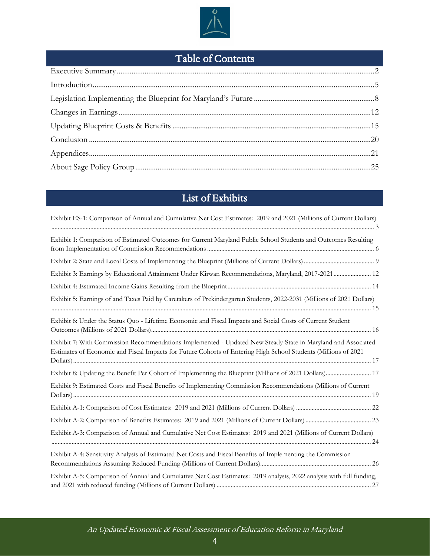

## Table of Contents

## List of Exhibits

| Exhibit ES-1: Comparison of Annual and Cumulative Net Cost Estimates: 2019 and 2021 (Millions of Current Dollars)                                                                                                              |
|--------------------------------------------------------------------------------------------------------------------------------------------------------------------------------------------------------------------------------|
| Exhibit 1: Comparison of Estimated Outcomes for Current Maryland Public School Students and Outcomes Resulting                                                                                                                 |
|                                                                                                                                                                                                                                |
| Exhibit 3: Earnings by Educational Attainment Under Kirwan Recommendations, Maryland, 2017-2021 12                                                                                                                             |
|                                                                                                                                                                                                                                |
| Exhibit 5: Earnings of and Taxes Paid by Caretakers of Prekindergarten Students, 2022-2031 (Millions of 2021 Dollars)                                                                                                          |
| Exhibit 6: Under the Status Quo - Lifetime Economic and Fiscal Impacts and Social Costs of Current Student                                                                                                                     |
| Exhibit 7: With Commission Recommendations Implemented - Updated New Steady-State in Maryland and Associated<br>Estimates of Economic and Fiscal Impacts for Future Cohorts of Entering High School Students (Millions of 2021 |
| Exhibit 8: Updating the Benefit Per Cohort of Implementing the Blueprint (Millions of 2021 Dollars) 17                                                                                                                         |
| Exhibit 9: Estimated Costs and Fiscal Benefits of Implementing Commission Recommendations (Millions of Current                                                                                                                 |
|                                                                                                                                                                                                                                |
|                                                                                                                                                                                                                                |
| Exhibit A-3: Comparison of Annual and Cumulative Net Cost Estimates: 2019 and 2021 (Millions of Current Dollars)                                                                                                               |
| Exhibit A-4: Sensitivity Analysis of Estimated Net Costs and Fiscal Benefits of Implementing the Commission                                                                                                                    |
| Exhibit A-5: Comparison of Annual and Cumulative Net Cost Estimates: 2019 analysis, 2022 analysis with full funding,                                                                                                           |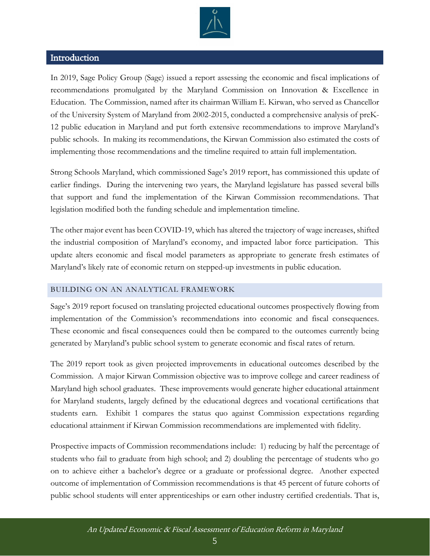

### <span id="page-4-0"></span>Introduction

In 2019, Sage Policy Group (Sage) issued a report assessing the economic and fiscal implications of recommendations promulgated by the Maryland Commission on Innovation & Excellence in Education. The Commission, named after its chairman William E. Kirwan, who served as Chancellor of the University System of Maryland from 2002-2015, conducted a comprehensive analysis of preK-12 public education in Maryland and put forth extensive recommendations to improve Maryland's public schools. In making its recommendations, the Kirwan Commission also estimated the costs of implementing those recommendations and the timeline required to attain full implementation.

Strong Schools Maryland, which commissioned Sage's 2019 report, has commissioned this update of earlier findings. During the intervening two years, the Maryland legislature has passed several bills that support and fund the implementation of the Kirwan Commission recommendations. That legislation modified both the funding schedule and implementation timeline.

The other major event has been COVID-19, which has altered the trajectory of wage increases, shifted the industrial composition of Maryland's economy, and impacted labor force participation. This update alters economic and fiscal model parameters as appropriate to generate fresh estimates of Maryland's likely rate of economic return on stepped-up investments in public education.

#### BUILDING ON AN ANALYTICAL FRAMEWORK

Sage's 2019 report focused on translating projected educational outcomes prospectively flowing from implementation of the Commission's recommendations into economic and fiscal consequences. These economic and fiscal consequences could then be compared to the outcomes currently being generated by Maryland's public school system to generate economic and fiscal rates of return.

The 2019 report took as given projected improvements in educational outcomes described by the Commission. A major Kirwan Commission objective was to improve college and career readiness of Maryland high school graduates. These improvements would generate higher educational attainment for Maryland students, largely defined by the educational degrees and vocational certifications that students earn. Exhibit 1 compares the status quo against Commission expectations regarding educational attainment if Kirwan Commission recommendations are implemented with fidelity.

Prospective impacts of Commission recommendations include: 1) reducing by half the percentage of students who fail to graduate from high school; and 2) doubling the percentage of students who go on to achieve either a bachelor's degree or a graduate or professional degree. Another expected outcome of implementation of Commission recommendations is that 45 percent of future cohorts of public school students will enter apprenticeships or earn other industry certified credentials. That is,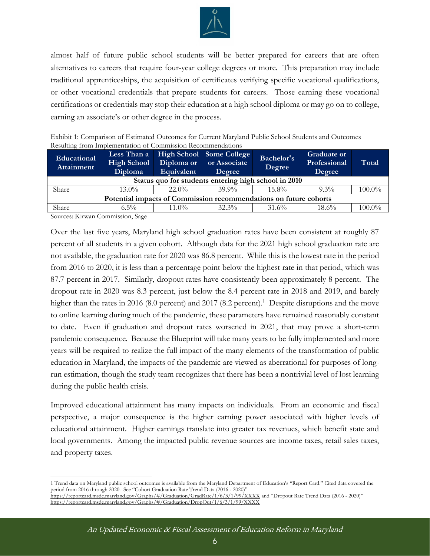

almost half of future public school students will be better prepared for careers that are often alternatives to careers that require four-year college degrees or more. This preparation may include traditional apprenticeships, the acquisition of certificates verifying specific vocational qualifications, or other vocational credentials that prepare students for careers. Those earning these vocational certifications or credentials may stop their education at a high school diploma or may go on to college, earning an associate's or other degree in the process.

<span id="page-5-0"></span>

| Exhibit 1: Comparison of Estimated Outcomes for Current Maryland Public School Students and Outcomes |
|------------------------------------------------------------------------------------------------------|
| Resulting from Implementation of Commission Recommendations                                          |

| Educational<br>Attainment                                         | Less Than a<br><b>High School</b><br>Diploma | Diploma or<br>Equivalent | High School Some College<br>or Associate<br>Degree | Bachelor's<br>Degree | <b>Graduate or</b><br>Professional<br>Degree | Total     |  |
|-------------------------------------------------------------------|----------------------------------------------|--------------------------|----------------------------------------------------|----------------------|----------------------------------------------|-----------|--|
| Status quo for students entering high school in 2010              |                                              |                          |                                                    |                      |                                              |           |  |
| Share                                                             | $13.0\%$                                     | $22.0\%$                 | $39.9\%$                                           | $15.8\%$             | $9.3\%$                                      | $100.0\%$ |  |
| Potential impacts of Commission recommendations on future cohorts |                                              |                          |                                                    |                      |                                              |           |  |
| Share                                                             | $6.5\%$                                      | $11.0\%$                 | $32.3\%$                                           | $31.6\%$             | $18.6\%$                                     | $100.0\%$ |  |

Sources: Kirwan Commission, Sage

Over the last five years, Maryland high school graduation rates have been consistent at roughly 87 percent of all students in a given cohort. Although data for the 2021 high school graduation rate are not available, the graduation rate for 2020 was 86.8 percent. While this is the lowest rate in the period from 2016 to 2020, it is less than a percentage point below the highest rate in that period, which was 87.7 percent in 2017. Similarly, dropout rates have consistently been approximately 8 percent. The dropout rate in 2020 was 8.3 percent, just below the 8.4 percent rate in 2018 and 2019, and barely higher than the rates in 2016 (8.0 percent) and 2017 (8.2 percent).<sup>1</sup> Despite disruptions and the move to online learning during much of the pandemic, these parameters have remained reasonably constant to date. Even if graduation and dropout rates worsened in 2021, that may prove a short-term pandemic consequence. Because the Blueprint will take many years to be fully implemented and more years will be required to realize the full impact of the many elements of the transformation of public education in Maryland, the impacts of the pandemic are viewed as aberrational for purposes of longrun estimation, though the study team recognizes that there has been a nontrivial level of lost learning during the public health crisis.

Improved educational attainment has many impacts on individuals. From an economic and fiscal perspective, a major consequence is the higher earning power associated with higher levels of educational attainment. Higher earnings translate into greater tax revenues, which benefit state and local governments. Among the impacted public revenue sources are income taxes, retail sales taxes, and property taxes.

<sup>1</sup> Trend data on Maryland public school outcomes is available from the Maryland Department of Education's "Report Card." Cited data covered the period from 2016 through 2020. See "Cohort Graduation Rate Trend Data (2016 - 2020)"

<https://reportcard.msde.maryland.gov/Graphs/#/Graduation/GradRate/1/6/3/1/99/XXXX> and "Dropout Rate Trend Data (2016 - 2020)" <https://reportcard.msde.maryland.gov/Graphs/#/Graduation/DropOut/1/6/3/1/99/XXXX>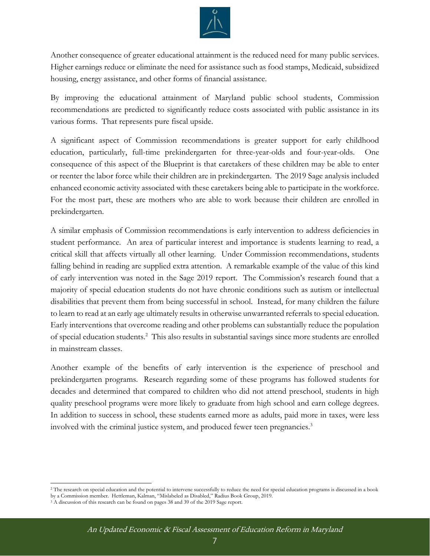

Another consequence of greater educational attainment is the reduced need for many public services. Higher earnings reduce or eliminate the need for assistance such as food stamps, Medicaid, subsidized housing, energy assistance, and other forms of financial assistance.

By improving the educational attainment of Maryland public school students, Commission recommendations are predicted to significantly reduce costs associated with public assistance in its various forms. That represents pure fiscal upside.

A significant aspect of Commission recommendations is greater support for early childhood education, particularly, full-time prekindergarten for three-year-olds and four-year-olds. One consequence of this aspect of the Blueprint is that caretakers of these children may be able to enter or reenter the labor force while their children are in prekindergarten. The 2019 Sage analysis included enhanced economic activity associated with these caretakers being able to participate in the workforce. For the most part, these are mothers who are able to work because their children are enrolled in prekindergarten.

A similar emphasis of Commission recommendations is early intervention to address deficiencies in student performance. An area of particular interest and importance is students learning to read, a critical skill that affects virtually all other learning. Under Commission recommendations, students falling behind in reading are supplied extra attention. A remarkable example of the value of this kind of early intervention was noted in the Sage 2019 report. The Commission's research found that a majority of special education students do not have chronic conditions such as autism or intellectual disabilities that prevent them from being successful in school. Instead, for many children the failure to learn to read at an early age ultimately results in otherwise unwarranted referrals to special education. Early interventions that overcome reading and other problems can substantially reduce the population of special education students.<sup>2</sup> This also results in substantial savings since more students are enrolled in mainstream classes.

Another example of the benefits of early intervention is the experience of preschool and prekindergarten programs. Research regarding some of these programs has followed students for decades and determined that compared to children who did not attend preschool, students in high quality preschool programs were more likely to graduate from high school and earn college degrees. In addition to success in school, these students earned more as adults, paid more in taxes, were less involved with the criminal justice system, and produced fewer teen pregnancies.<sup>3</sup>

<sup>&</sup>lt;sup>2</sup> The research on special education and the potential to intervene successfully to reduce the need for special education programs is discussed in a book by a Commission member. Hettleman, Kalman, "Mislabeled as Disabled," Radius Book Group, 2019.

<sup>&</sup>lt;sup>3</sup> A discussion of this research can be found on pages 38 and 39 of the 2019 Sage report.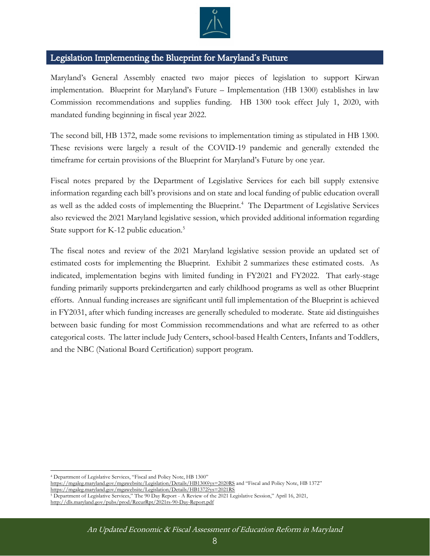

## <span id="page-7-0"></span>Legislation Implementing the Blueprint for Maryland's Future

Maryland's General Assembly enacted two major pieces of legislation to support Kirwan implementation. Blueprint for Maryland's Future – Implementation (HB 1300) establishes in law Commission recommendations and supplies funding. HB 1300 took effect July 1, 2020, with mandated funding beginning in fiscal year 2022.

The second bill, HB 1372, made some revisions to implementation timing as stipulated in HB 1300. These revisions were largely a result of the COVID-19 pandemic and generally extended the timeframe for certain provisions of the Blueprint for Maryland's Future by one year.

Fiscal notes prepared by the Department of Legislative Services for each bill supply extensive information regarding each bill's provisions and on state and local funding of public education overall as well as the added costs of implementing the Blueprint.<sup>4</sup> The Department of Legislative Services also reviewed the 2021 Maryland legislative session, which provided additional information regarding State support for K-12 public education.<sup>5</sup>

The fiscal notes and review of the 2021 Maryland legislative session provide an updated set of estimated costs for implementing the Blueprint. Exhibit 2 summarizes these estimated costs. As indicated, implementation begins with limited funding in FY2021 and FY2022. That early-stage funding primarily supports prekindergarten and early childhood programs as well as other Blueprint efforts. Annual funding increases are significant until full implementation of the Blueprint is achieved in FY2031, after which funding increases are generally scheduled to moderate. State aid distinguishes between basic funding for most Commission recommendations and what are referred to as other categorical costs. The latter include Judy Centers, school-based Health Centers, Infants and Toddlers, and the NBC (National Board Certification) support program.

<http://dls.maryland.gov/pubs/prod/RecurRpt/2021rs-90-Day-Report.pdf>

<sup>4</sup> Department of Legislative Services, "Fiscal and Policy Note, HB 1300"

<https://mgaleg.maryland.gov/mgawebsite/Legislation/Details/HB1300?ys=2020RS> and "Fiscal and Policy Note, HB 1372" <https://mgaleg.maryland.gov/mgawebsite/Legislation/Details/HB1372?ys=2021RS>

<sup>5</sup> Department of Legislative Services," The 90 Day Report - A Review of the 2021 Legislative Session," April 16, 2021,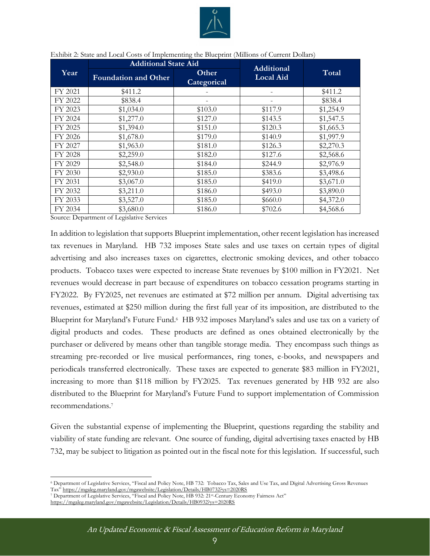

|         | <b>Additional State Aid</b> |                      | <b>Additional</b> | Total     |  |
|---------|-----------------------------|----------------------|-------------------|-----------|--|
| Year    | <b>Foundation and Other</b> | Other<br>Categorical | <b>Local Aid</b>  |           |  |
| FY 2021 | \$411.2                     |                      |                   | \$411.2   |  |
| FY 2022 | \$838.4                     |                      |                   | \$838.4   |  |
| FY 2023 | \$1,034.0                   | \$103.0              | \$117.9           | \$1,254.9 |  |
| FY 2024 | \$1,277.0                   | \$127.0              | \$143.5           | \$1,547.5 |  |
| FY 2025 | \$1,394.0                   | \$151.0              | \$120.3           | \$1,665.3 |  |
| FY 2026 | \$1,678.0                   | \$179.0              | \$140.9           | \$1,997.9 |  |
| FY 2027 | \$1,963.0                   | \$181.0              | \$126.3           | \$2,270.3 |  |
| FY 2028 | \$2,259.0                   | \$182.0              | \$127.6           | \$2,568.6 |  |
| FY 2029 | \$2,548.0                   | \$184.0              | \$244.9           | \$2,976.9 |  |
| FY 2030 | \$2,930.0                   | \$185.0              | \$383.6           | \$3,498.6 |  |
| FY 2031 | \$3,067.0                   | \$185.0              | \$419.0           | \$3,671.0 |  |
| FY 2032 | \$3,211.0                   | \$186.0              | \$493.0           | \$3,890.0 |  |
| FY 2033 | \$3,527.0                   | \$185.0              | \$660.0           | \$4,372.0 |  |
| FY 2034 | \$3,680.0                   | \$186.0              | \$702.6           | \$4,568.6 |  |

#### <span id="page-8-0"></span>Exhibit 2: State and Local Costs of Implementing the Blueprint (Millions of Current Dollars)

Source: Department of Legislative Services

In addition to legislation that supports Blueprint implementation, other recent legislation has increased tax revenues in Maryland. HB 732 imposes State sales and use taxes on certain types of digital advertising and also increases taxes on cigarettes, electronic smoking devices, and other tobacco products. Tobacco taxes were expected to increase State revenues by \$100 million in FY2021. Net revenues would decrease in part because of expenditures on tobacco cessation programs starting in FY2022. By FY2025, net revenues are estimated at \$72 million per annum. Digital advertising tax revenues, estimated at \$250 million during the first full year of its imposition, are distributed to the Blueprint for Maryland's Future Fund.<sup>6</sup> HB 932 imposes Maryland's sales and use tax on a variety of digital products and codes. These products are defined as ones obtained electronically by the purchaser or delivered by means other than tangible storage media. They encompass such things as streaming pre-recorded or live musical performances, ring tones, e-books, and newspapers and periodicals transferred electronically. These taxes are expected to generate \$83 million in FY2021, increasing to more than \$118 million by FY2025. Tax revenues generated by HB 932 are also distributed to the Blueprint for Maryland's Future Fund to support implementation of Commission recommendations.<sup>7</sup>

Given the substantial expense of implementing the Blueprint, questions regarding the stability and viability of state funding are relevant. One source of funding, digital advertising taxes enacted by HB 732, may be subject to litigation as pointed out in the fiscal note for this legislation. If successful, such

<https://mgaleg.maryland.gov/mgawebsite/Legislation/Details/HB0932?ys=2020RS>

<sup>6</sup> Department of Legislative Services, "Fiscal and Policy Note, HB 732: Tobacco Tax, Sales and Use Tax, and Digital Advertising Gross Revenues Tax" <https://mgaleg.maryland.gov/mgawebsite/Legislation/Details/HB0732?ys=2020RS>

<sup>7</sup> Department of Legislative Services, "Fiscal and Policy Note, HB 932: 21st -Century Economy Fairness Act"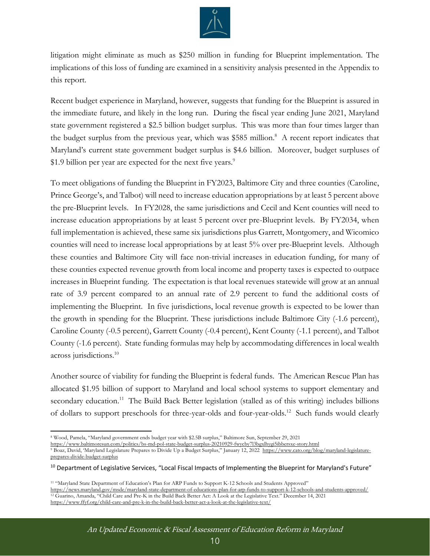

litigation might eliminate as much as \$250 million in funding for Blueprint implementation. The implications of this loss of funding are examined in a sensitivity analysis presented in the Appendix to this report.

Recent budget experience in Maryland, however, suggests that funding for the Blueprint is assured in the immediate future, and likely in the long run. During the fiscal year ending June 2021, Maryland state government registered a \$2.5 billion budget surplus. This was more than four times larger than the budget surplus from the previous year, which was \$585 million.<sup>8</sup> A recent report indicates that Maryland's current state government budget surplus is \$4.6 billion. Moreover, budget surpluses of \$1.9 billion per year are expected for the next five years.<sup>9</sup>

To meet obligations of funding the Blueprint in FY2023, Baltimore City and three counties (Caroline, Prince George's, and Talbot) will need to increase education appropriations by at least 5 percent above the pre-Blueprint levels. In FY2028, the same jurisdictions and Cecil and Kent counties will need to increase education appropriations by at least 5 percent over pre-Blueprint levels. By FY2034, when full implementation is achieved, these same six jurisdictions plus Garrett, Montgomery, and Wicomico counties will need to increase local appropriations by at least 5% over pre-Blueprint levels. Although these counties and Baltimore City will face non-trivial increases in education funding, for many of these counties expected revenue growth from local income and property taxes is expected to outpace increases in Blueprint funding. The expectation is that local revenues statewide will grow at an annual rate of 3.9 percent compared to an annual rate of 2.9 percent to fund the additional costs of implementing the Blueprint. In five jurisdictions, local revenue growth is expected to be lower than the growth in spending for the Blueprint. These jurisdictions include Baltimore City (-1.6 percent), Caroline County (-0.5 percent), Garrett County (-0.4 percent), Kent County (-1.1 percent), and Talbot County (-1.6 percent). State funding formulas may help by accommodating differences in local wealth across jurisdictions.<sup>10</sup>

Another source of viability for funding the Blueprint is federal funds. The American Rescue Plan has allocated \$1.95 billion of support to Maryland and local school systems to support elementary and secondary education.<sup>11</sup> The Build Back Better legislation (stalled as of this writing) includes billions of dollars to support preschools for three-year-olds and four-year-olds.<sup>12</sup> Such funds would clearly

<https://www.baltimoresun.com/politics/bs-md-pol-state-budget-surplus-20210929-fwycby7l3bgxlhygi5ibbersxe-story.html>

<sup>8</sup> Wood, Pamela, "Maryland government ends budget year with \$2.5B surplus," Baltimore Sun, September 29, 2021

<sup>9</sup> Boaz, David, 'Maryland Legislature Prepares to Divide Up a Budget Surplus," January 12, 2022 [https://www.cato.org/blog/maryland-legislature](https://www.cato.org/blog/maryland-legislature-prepares-divide-budget-surplus)[prepares-divide-budget-surplus](https://www.cato.org/blog/maryland-legislature-prepares-divide-budget-surplus)

<sup>&</sup>lt;sup>10</sup> Department of Legislative Services, "Local Fiscal Impacts of Implementing the Blueprint for Maryland's Future"

<sup>11</sup> "Maryland State Department of Education's Plan for ARP Funds to Support K-12 Schools and Students Approved" <https://news.maryland.gov/msde/maryland-state-department-of-educations-plan-for-arp-funds-to-support-k-12-schools-and-students-approved/> <sup>12</sup> Guarino, Amanda, "Child Care and Pre-K in the Build Back Better Act: A Look at the Legislative Text." December 14, 2021 <https://www.ffyf.org/child-care-and-pre-k-in-the-build-back-better-act-a-look-at-the-legislative-text/>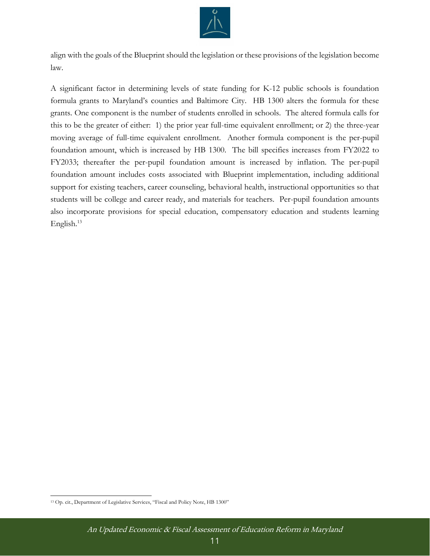

align with the goals of the Blueprint should the legislation or these provisions of the legislation become law.

A significant factor in determining levels of state funding for K-12 public schools is foundation formula grants to Maryland's counties and Baltimore City. HB 1300 alters the formula for these grants. One component is the number of students enrolled in schools. The altered formula calls for this to be the greater of either: 1) the prior year full-time equivalent enrollment; or 2) the three-year moving average of full-time equivalent enrollment. Another formula component is the per-pupil foundation amount, which is increased by HB 1300. The bill specifies increases from FY2022 to FY2033; thereafter the per-pupil foundation amount is increased by inflation. The per-pupil foundation amount includes costs associated with Blueprint implementation, including additional support for existing teachers, career counseling, behavioral health, instructional opportunities so that students will be college and career ready, and materials for teachers. Per-pupil foundation amounts also incorporate provisions for special education, compensatory education and students learning English. 13

<sup>13</sup> Op. cit., Department of Legislative Services, "Fiscal and Policy Note, HB 1300"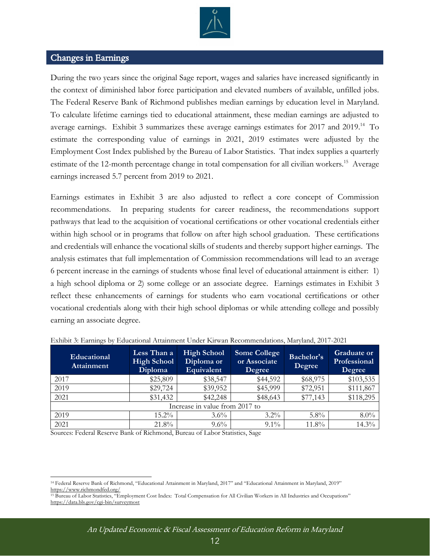

### <span id="page-11-0"></span>Changes in Earnings

During the two years since the original Sage report, wages and salaries have increased significantly in the context of diminished labor force participation and elevated numbers of available, unfilled jobs. The Federal Reserve Bank of Richmond publishes median earnings by education level in Maryland. To calculate lifetime earnings tied to educational attainment, these median earnings are adjusted to average earnings. Exhibit 3 summarizes these average earnings estimates for 2017 and 2019.<sup>14</sup> To estimate the corresponding value of earnings in 2021, 2019 estimates were adjusted by the Employment Cost Index published by the Bureau of Labor Statistics. That index supplies a quarterly estimate of the 12-month percentage change in total compensation for all civilian workers.<sup>15</sup> Average earnings increased 5.7 percent from 2019 to 2021.

Earnings estimates in Exhibit 3 are also adjusted to reflect a core concept of Commission recommendations. In preparing students for career readiness, the recommendations support pathways that lead to the acquisition of vocational certifications or other vocational credentials either within high school or in programs that follow on after high school graduation. These certifications and credentials will enhance the vocational skills of students and thereby support higher earnings. The analysis estimates that full implementation of Commission recommendations will lead to an average 6 percent increase in the earnings of students whose final level of educational attainment is either: 1) a high school diploma or 2) some college or an associate degree. Earnings estimates in Exhibit 3 reflect these enhancements of earnings for students who earn vocational certifications or other vocational credentials along with their high school diplomas or while attending college and possibly earning an associate degree.

| Educational<br><b>Attainment</b> | Less Than a<br><b>High School</b><br>Diploma | <b>High School</b><br>Diploma or<br>Equivalent | <b>Some College</b><br>or Associate<br>Degree | Bachelor's<br>Degree | <b>Graduate or</b><br>Professional<br>Degree |  |  |  |
|----------------------------------|----------------------------------------------|------------------------------------------------|-----------------------------------------------|----------------------|----------------------------------------------|--|--|--|
| 2017                             | \$25,809                                     | \$38,547                                       | \$44,592                                      | \$68,975             | \$103,535                                    |  |  |  |
| 2019                             | \$29,724                                     | \$39,952                                       | \$45,999                                      | \$72,951             | \$111,867                                    |  |  |  |
| 2021                             | \$31,432                                     | \$42,248                                       | \$48,643                                      | \$77,143             | \$118,295                                    |  |  |  |
| Increase in value from 2017 to   |                                              |                                                |                                               |                      |                                              |  |  |  |
| 2019                             | $15.2\%$                                     | $3.6\%$                                        | $3.2\%$                                       | $5.8\%$              | $8.0\%$                                      |  |  |  |
| 2021                             | 21.8%                                        | $9.6\%$                                        | $9.1\%$                                       | 11.8%                | 14.3%                                        |  |  |  |

<span id="page-11-1"></span>

| Exhibit 3: Earnings by Educational Attainment Under Kirwan Recommendations, Maryland, 2017-2021 |  |  |  |  |  |
|-------------------------------------------------------------------------------------------------|--|--|--|--|--|
|                                                                                                 |  |  |  |  |  |
|                                                                                                 |  |  |  |  |  |

Sources: Federal Reserve Bank of Richmond, Bureau of Labor Statistics, Sage

<sup>14</sup> Federal Reserve Bank of Richmond, "Educational Attainment in Maryland, 2017" and "Educational Attainment in Maryland, 2019" <https://www.richmondfed.org/>

<sup>&</sup>lt;sup>15</sup> Bureau of Labor Statistics, "Employment Cost Index: Total Compensation for All Civilian Workers in All Industries and Occupations" <https://data.bls.gov/cgi-bin/surveymost>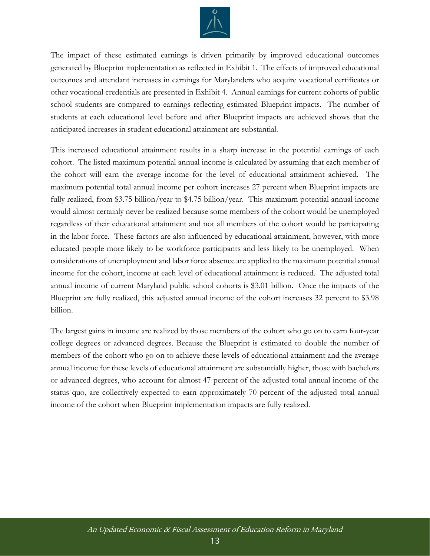

The impact of these estimated earnings is driven primarily by improved educational outcomes generated by Blueprint implementation as reflected in Exhibit 1. The effects of improved educational outcomes and attendant increases in earnings for Marylanders who acquire vocational certificates or other vocational credentials are presented in Exhibit 4. Annual earnings for current cohorts of public school students are compared to earnings reflecting estimated Blueprint impacts. The number of students at each educational level before and after Blueprint impacts are achieved shows that the anticipated increases in student educational attainment are substantial.

This increased educational attainment results in a sharp increase in the potential earnings of each cohort. The listed maximum potential annual income is calculated by assuming that each member of the cohort will earn the average income for the level of educational attainment achieved. The maximum potential total annual income per cohort increases 27 percent when Blueprint impacts are fully realized, from \$3.75 billion/year to \$4.75 billion/year. This maximum potential annual income would almost certainly never be realized because some members of the cohort would be unemployed regardless of their educational attainment and not all members of the cohort would be participating in the labor force. These factors are also influenced by educational attainment, however, with more educated people more likely to be workforce participants and less likely to be unemployed. When considerations of unemployment and labor force absence are applied to the maximum potential annual income for the cohort, income at each level of educational attainment is reduced. The adjusted total annual income of current Maryland public school cohorts is \$3.01 billion. Once the impacts of the Blueprint are fully realized, this adjusted annual income of the cohort increases 32 percent to \$3.98 billion.

The largest gains in income are realized by those members of the cohort who go on to earn four-year college degrees or advanced degrees. Because the Blueprint is estimated to double the number of members of the cohort who go on to achieve these levels of educational attainment and the average annual income for these levels of educational attainment are substantially higher, those with bachelors or advanced degrees, who account for almost 47 percent of the adjusted total annual income of the status quo, are collectively expected to earn approximately 70 percent of the adjusted total annual income of the cohort when Blueprint implementation impacts are fully realized.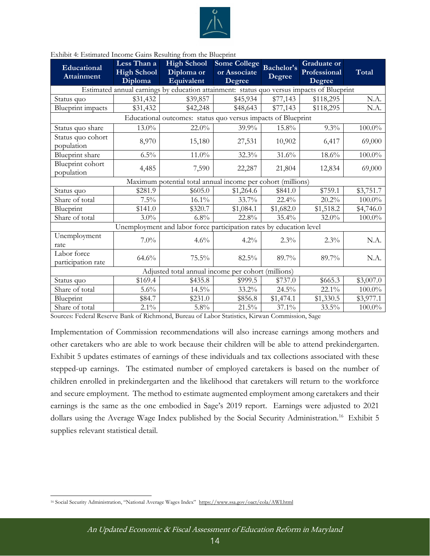

| Educational<br><b>Attainment</b>                   | Less Than a<br><b>High School</b><br>Diploma | <b>High School</b><br>Diploma or<br>Equivalent                                            | <b>Some College</b><br>or Associate<br>Degree | Bachelor's<br>Degree | <b>Graduate</b> or<br>Professional<br>Degree | Total     |  |  |
|----------------------------------------------------|----------------------------------------------|-------------------------------------------------------------------------------------------|-----------------------------------------------|----------------------|----------------------------------------------|-----------|--|--|
|                                                    |                                              | Estimated annual earnings by education attainment: status quo versus impacts of Blueprint |                                               |                      |                                              |           |  |  |
| Status quo                                         | \$31,432                                     | \$39,857                                                                                  | \$45,934                                      | \$77,143             | \$118,295                                    | N.A.      |  |  |
| <b>Blueprint</b> impacts                           | \$31,432                                     | \$42,248                                                                                  | \$48,643                                      | \$77,143             | \$118,295                                    | N.A.      |  |  |
|                                                    |                                              | Educational outcomes: status quo versus impacts of Blueprint                              |                                               |                      |                                              |           |  |  |
| Status quo share                                   | $13.0\%$                                     | 22.0%                                                                                     | 39.9%                                         | 15.8%                | 9.3%                                         | $100.0\%$ |  |  |
| Status quo cohort<br>population                    | 8,970                                        | 15,180                                                                                    | 27,531                                        | 10,902               | 6,417                                        | 69,000    |  |  |
| Blueprint share                                    | $6.5\%$                                      | 11.0%                                                                                     | 32.3%                                         | 31.6%                | $18.6\%$                                     | $100.0\%$ |  |  |
| Blueprint cohort<br>population                     | 4,485                                        | 7,590                                                                                     | 22,287                                        | 21,804               | 12,834                                       | 69,000    |  |  |
|                                                    |                                              | Maximum potential total annual income per cohort (millions)                               |                                               |                      |                                              |           |  |  |
| Status quo                                         | \$281.9                                      | \$605.0                                                                                   | \$1,264.6                                     | \$841.0              | \$759.1                                      | \$3,751.7 |  |  |
| Share of total                                     | $7.5\%$                                      | $16.1\%$                                                                                  | 33.7%                                         | 22.4%                | $20.2\%$                                     | $100.0\%$ |  |  |
| Blueprint                                          | \$141.0                                      | \$320.7                                                                                   | \$1,084.1                                     | \$1,682.0            | \$1,518.2                                    | \$4,746.0 |  |  |
| Share of total                                     | $3.0\%$                                      | 6.8%                                                                                      | 22.8%                                         | 35.4%                | 32.0%                                        | $100.0\%$ |  |  |
|                                                    |                                              | Unemployment and labor force participation rates by education level                       |                                               |                      |                                              |           |  |  |
| Unemployment<br>rate                               | $7.0\%$                                      | 4.6%                                                                                      | $4.2\%$                                       | 2.3%                 | 2.3%                                         | N.A.      |  |  |
| Labor force<br>participation rate                  | 64.6%                                        | 75.5%                                                                                     | 82.5%                                         | 89.7%                | 89.7%                                        | N.A.      |  |  |
| Adjusted total annual income per cohort (millions) |                                              |                                                                                           |                                               |                      |                                              |           |  |  |
| Status quo                                         | \$169.4                                      | \$435.8                                                                                   | \$999.5                                       | \$737.0              | \$665.3                                      | \$3,007.0 |  |  |
| Share of total                                     | $5.6\%$                                      | $14.5\%$                                                                                  | 33.2%                                         | 24.5%                | 22.1%                                        | $100.0\%$ |  |  |
| Blueprint                                          | \$84.7                                       | \$231.0                                                                                   | \$856.8                                       | \$1,474.1            | \$1,330.5                                    | \$3,977.1 |  |  |
| Share of total                                     | $2.1\%$                                      | $5.8\%$                                                                                   | 21.5%                                         | 37.1%                | 33.5%                                        | $100.0\%$ |  |  |

#### <span id="page-13-0"></span>Exhibit 4: Estimated Income Gains Resulting from the Blueprint

Sources: Federal Reserve Bank of Richmond, Bureau of Labor Statistics, Kirwan Commission, Sage

Implementation of Commission recommendations will also increase earnings among mothers and other caretakers who are able to work because their children will be able to attend prekindergarten. Exhibit 5 updates estimates of earnings of these individuals and tax collections associated with these stepped-up earnings. The estimated number of employed caretakers is based on the number of children enrolled in prekindergarten and the likelihood that caretakers will return to the workforce and secure employment. The method to estimate augmented employment among caretakers and their earnings is the same as the one embodied in Sage's 2019 report. Earnings were adjusted to 2021 dollars using the Average Wage Index published by the Social Security Administration.<sup>16</sup> Exhibit 5 supplies relevant statistical detail.

<sup>16</sup> Social Security Administration, "National Average Wages Index" <https://www.ssa.gov/oact/cola/AWI.html>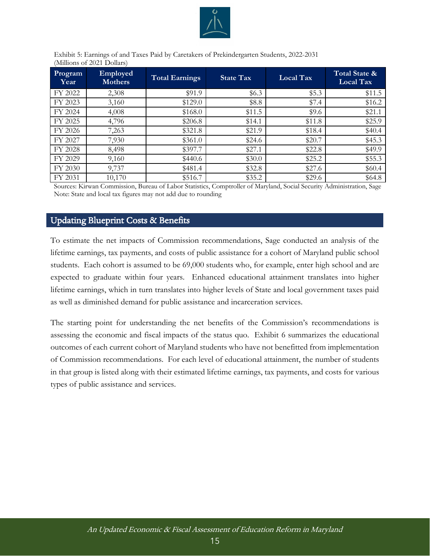

<span id="page-14-1"></span>Exhibit 5: Earnings of and Taxes Paid by Caretakers of Prekindergarten Students, 2022-2031 (Millions of 2021 Dollars)

| Program<br>Year | Employed<br><b>Mothers</b> | <b>Total Earnings</b> | <b>State Tax</b> | $\overline{\text{Local Tax}}$ | Total State &<br>Local Tax |
|-----------------|----------------------------|-----------------------|------------------|-------------------------------|----------------------------|
| FY 2022         | 2,308                      | \$91.9                | \$6.3\$          | \$5.3                         | \$11.5                     |
| FY 2023         | 3,160                      | \$129.0               | \$8.8            | \$7.4                         | \$16.2                     |
| FY 2024         | 4,008                      | \$168.0               | \$11.5           | \$9.6                         | \$21.1                     |
| FY 2025         | 4,796                      | \$206.8               | \$14.1           | \$11.8                        | \$25.9                     |
| FY 2026         | 7,263                      | \$321.8               | \$21.9           | \$18.4                        | \$40.4\$                   |
| FY 2027         | 7,930                      | \$361.0               | \$24.6           | \$20.7                        | \$45.3                     |
| FY 2028         | 8,498                      | \$397.7               | \$27.1           | \$22.8                        | \$49.9                     |
| FY 2029         | 9,160                      | \$440.6               | \$30.0           | \$25.2                        | \$55.3                     |
| FY 2030         | 9,737                      | \$481.4               | \$32.8           | \$27.6                        | \$60.4\$                   |
| FY 2031         | 10,170                     | \$516.7               | \$35.2           | \$29.6                        | \$64.8                     |

<span id="page-14-0"></span>Sources: Kirwan Commission, Bureau of Labor Statistics, Comptroller of Maryland, Social Security Administration, Sage Note: State and local tax figures may not add due to rounding

### Updating Blueprint Costs & Benefits

To estimate the net impacts of Commission recommendations, Sage conducted an analysis of the lifetime earnings, tax payments, and costs of public assistance for a cohort of Maryland public school students. Each cohort is assumed to be 69,000 students who, for example, enter high school and are expected to graduate within four years. Enhanced educational attainment translates into higher lifetime earnings, which in turn translates into higher levels of State and local government taxes paid as well as diminished demand for public assistance and incarceration services.

The starting point for understanding the net benefits of the Commission's recommendations is assessing the economic and fiscal impacts of the status quo. Exhibit 6 summarizes the educational outcomes of each current cohort of Maryland students who have not benefitted from implementation of Commission recommendations. For each level of educational attainment, the number of students in that group is listed along with their estimated lifetime earnings, tax payments, and costs for various types of public assistance and services.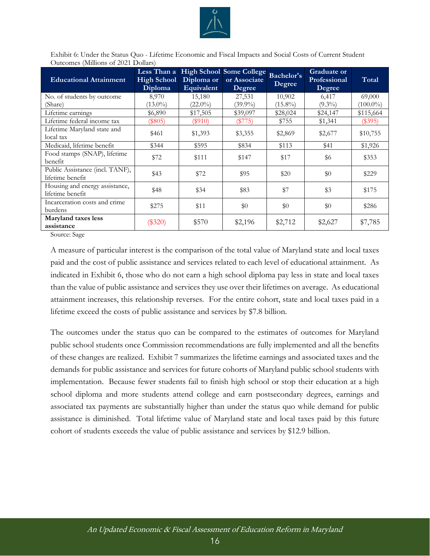

<span id="page-15-0"></span>Exhibit 6: Under the Status Quo - Lifetime Economic and Fiscal Impacts and Social Costs of Current Student Outcomes (Millions of 2021 Dollars)

| <b>Educational Attainment</b>                       | <b>High School</b><br>Diploma | Diploma or<br>Equivalent | Less Than a High School Some College<br>or Associate<br>Degree | Bachelor's<br>Degree | <b>Graduate or</b><br>Professional<br>Degree | Total       |
|-----------------------------------------------------|-------------------------------|--------------------------|----------------------------------------------------------------|----------------------|----------------------------------------------|-------------|
| No. of students by outcome                          | 8,970                         | 15,180                   | 27,531                                                         | 10,902               | 6,417                                        | 69,000      |
| (Share)                                             | $(13.0\%)$                    | $(22.0\%)$               | $(39.9\%)$                                                     | $(15.8\%)$           | $(9.3\%)$                                    | $(100.0\%)$ |
| Lifetime earnings                                   | \$6,890                       | \$17,505                 | \$39,097                                                       | \$28,024             | \$24,147                                     | \$115,664   |
| Lifetime federal income tax                         | $(\$805)$                     | $(\$910)$                | $(\$775)$                                                      | \$755                | \$1,341                                      | $(\$395)$   |
| Lifetime Maryland state and<br>local tax            | \$461                         | \$1,393                  | \$3,355                                                        | \$2,869              | \$2,677                                      | \$10,755    |
| Medicaid, lifetime benefit                          | \$344                         | \$595                    | \$834                                                          | \$113                | \$41                                         | \$1,926     |
| Food stamps (SNAP), lifetime<br>benefit             | \$72                          | \$111                    | \$147                                                          | \$17                 | \$6                                          | \$353       |
| Public Assistance (incl. TANF),<br>lifetime benefit | \$43                          | \$72                     | \$95                                                           | \$20                 | \$0                                          | \$229       |
| Housing and energy assistance,<br>lifetime benefit  | \$48                          | \$34                     | \$83                                                           | \$7                  | \$3                                          | \$175       |
| Incarceration costs and crime<br>burdens            | \$275                         | \$11                     | \$0                                                            | \$0                  | \$0                                          | \$286       |
| Maryland taxes less<br>assistance                   | $(\$320)$                     | \$570                    | \$2,196                                                        | \$2,712              | \$2,627                                      | \$7,785     |

Source: Sage

A measure of particular interest is the comparison of the total value of Maryland state and local taxes paid and the cost of public assistance and services related to each level of educational attainment. As indicated in Exhibit 6, those who do not earn a high school diploma pay less in state and local taxes than the value of public assistance and services they use over their lifetimes on average. As educational attainment increases, this relationship reverses. For the entire cohort, state and local taxes paid in a lifetime exceed the costs of public assistance and services by \$7.8 billion.

The outcomes under the status quo can be compared to the estimates of outcomes for Maryland public school students once Commission recommendations are fully implemented and all the benefits of these changes are realized. Exhibit 7 summarizes the lifetime earnings and associated taxes and the demands for public assistance and services for future cohorts of Maryland public school students with implementation. Because fewer students fail to finish high school or stop their education at a high school diploma and more students attend college and earn postsecondary degrees, earnings and associated tax payments are substantially higher than under the status quo while demand for public assistance is diminished. Total lifetime value of Maryland state and local taxes paid by this future cohort of students exceeds the value of public assistance and services by \$12.9 billion.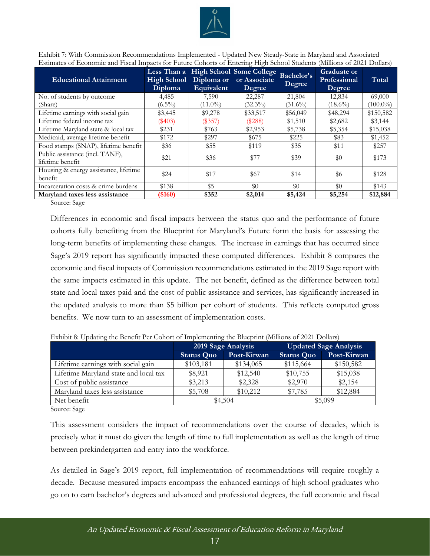

<span id="page-16-0"></span>Exhibit 7: With Commission Recommendations Implemented - Updated New Steady-State in Maryland and Associated Estimates of Economic and Fiscal Impacts for Future Cohorts of Entering High School Students (Millions of 2021 Dollars)

| <b>Educational Attainment</b>                       | Less Than a<br>High School<br>Diploma | Diploma or<br>Equivalent | High School Some College<br>or Associate<br>Degree | Bachelor's<br>Degree | <b>Graduate or</b><br>Professional<br>Degree | Total       |
|-----------------------------------------------------|---------------------------------------|--------------------------|----------------------------------------------------|----------------------|----------------------------------------------|-------------|
| No. of students by outcome                          | 4,485                                 | 7,590                    | 22,287                                             | 21,804               | 12,834                                       | 69,000      |
| (Share)                                             | $(6.5\%)$                             | $(11.0\%)$               | $(32.3\%)$                                         | $(31.6\%)$           | $(18.6\%)$                                   | $(100.0\%)$ |
| Lifetime earnings with social gain                  | \$3,445                               | \$9,278                  | \$33,517                                           | \$56,049             | \$48,294                                     | \$150,582   |
| Lifetime federal income tax                         | $(\$403)$                             | $(\$357)$                | $(\$288)$                                          | \$1,510              | \$2,682                                      | \$3,144     |
| Lifetime Maryland state & local tax                 | \$231                                 | \$763                    | \$2,953                                            | \$5,738              | \$5,354                                      | \$15,038    |
| Medicaid, average lifetime benefit                  | \$172                                 | \$297                    | \$675                                              | \$225                | \$83                                         | \$1,452     |
| Food stamps (SNAP), lifetime benefit                | \$36                                  | \$55                     | \$119                                              | \$35                 | \$11                                         | \$257       |
| Public assistance (incl. TANF),<br>lifetime benefit | \$21                                  | \$36                     | \$77                                               | \$39                 | \$0                                          | \$173       |
| Housing & energy assistance, lifetime<br>benefit    | \$24                                  | \$17                     | \$67                                               | \$14                 | \$6                                          | \$128       |
| Incarceration costs & crime burdens                 | \$138                                 | \$5                      | \$0                                                | \$0                  | \$0                                          | \$143       |
| Maryland taxes less assistance                      | $($ \$160)                            | \$352                    | \$2,014                                            | \$5,424              | \$5,254                                      | \$12,884    |

Source: Sage

Differences in economic and fiscal impacts between the status quo and the performance of future cohorts fully benefiting from the Blueprint for Maryland's Future form the basis for assessing the long-term benefits of implementing these changes. The increase in earnings that has occurred since Sage's 2019 report has significantly impacted these computed differences. Exhibit 8 compares the economic and fiscal impacts of Commission recommendations estimated in the 2019 Sage report with the same impacts estimated in this update. The net benefit, defined as the difference between total state and local taxes paid and the cost of public assistance and services, has significantly increased in the updated analysis to more than \$5 billion per cohort of students. This reflects computed gross benefits. We now turn to an assessment of implementation costs.

|                                       |                   | 2019 Sage Analysis | <b>Updated Sage Analysis</b> |             |  |
|---------------------------------------|-------------------|--------------------|------------------------------|-------------|--|
|                                       | <b>Status Quo</b> | Post-Kirwan        | <b>Status Quo</b>            | Post-Kirwan |  |
| Lifetime earnings with social gain    | \$103,181         | \$134,065          | \$115,664                    | \$150,582   |  |
| Lifetime Maryland state and local tax | \$8,921           | \$12,540           | \$10,755                     | \$15,038    |  |
| Cost of public assistance             | \$3,213           | \$2,328            | \$2,970                      | \$2,154     |  |
| Maryland taxes less assistance        | \$5,708           | \$10,212           | \$7,785                      | \$12,884    |  |
| Net benefit                           | \$4,504           |                    | \$5,099                      |             |  |

<span id="page-16-1"></span>Exhibit 8: Updating the Benefit Per Cohort of Implementing the Blueprint (Millions of 2021 Dollars)

Source: Sage

This assessment considers the impact of recommendations over the course of decades, which is precisely what it must do given the length of time to full implementation as well as the length of time between prekindergarten and entry into the workforce.

As detailed in Sage's 2019 report, full implementation of recommendations will require roughly a decade. Because measured impacts encompass the enhanced earnings of high school graduates who go on to earn bachelor's degrees and advanced and professional degrees, the full economic and fiscal

17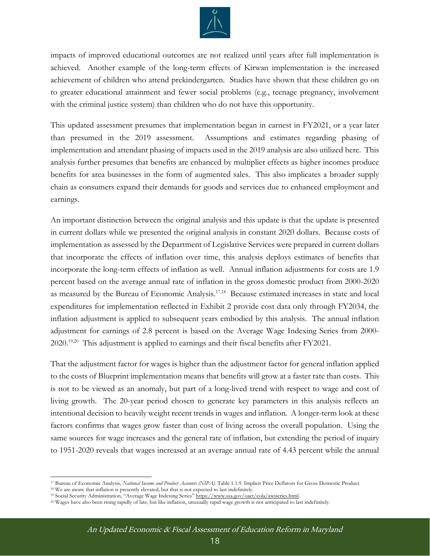

impacts of improved educational outcomes are not realized until years after full implementation is achieved. Another example of the long-term effects of Kirwan implementation is the increased achievement of children who attend prekindergarten. Studies have shown that these children go on to greater educational attainment and fewer social problems (e.g., teenage pregnancy, involvement with the criminal justice system) than children who do not have this opportunity.

This updated assessment presumes that implementation began in earnest in FY2021, or a year later than presumed in the 2019 assessment. Assumptions and estimates regarding phasing of implementation and attendant phasing of impacts used in the 2019 analysis are also utilized here. This analysis further presumes that benefits are enhanced by multiplier effects as higher incomes produce benefits for area businesses in the form of augmented sales. This also implicates a broader supply chain as consumers expand their demands for goods and services due to enhanced employment and earnings.

An important distinction between the original analysis and this update is that the update is presented in current dollars while we presented the original analysis in constant 2020 dollars. Because costs of implementation as assessed by the Department of Legislative Services were prepared in current dollars that incorporate the effects of inflation over time, this analysis deploys estimates of benefits that incorporate the long-term effects of inflation as well. Annual inflation adjustments for costs are 1.9 percent based on the average annual rate of inflation in the gross domestic product from 2000-2020 as measured by the Bureau of Economic Analysis.<sup>17,18</sup> Because estimated increases in state and local expenditures for implementation reflected in Exhibit 2 provide cost data only through FY2034, the inflation adjustment is applied to subsequent years embodied by this analysis. The annual inflation adjustment for earnings of 2.8 percent is based on the Average Wage Indexing Series from 2000- 2020.<sup>19,20</sup> This adjustment is applied to earnings and their fiscal benefits after FY2021.

That the adjustment factor for wages is higher than the adjustment factor for general inflation applied to the costs of Blueprint implementation means that benefits will grow at a faster rate than costs. This is not to be viewed as an anomaly, but part of a long-lived trend with respect to wage and cost of living growth. The 20-year period chosen to generate key parameters in this analysis reflects an intentional decision to heavily weight recent trends in wages and inflation. A longer-term look at these factors confirms that wages grow faster than cost of living across the overall population. Using the same sources for wage increases and the general rate of inflation, but extending the period of inquiry to 1951-2020 reveals that wages increased at an average annual rate of 4.43 percent while the annual

<sup>17</sup> Bureau of Economic Analysis, *National Income and Product Accounts (NIPA)*. Table 1.1.9. Implicit Price Deflators for Gross Domestic Product.

<sup>&</sup>lt;sup>18</sup> We are aware that inflation is presently elevated, but that is not expected to last indefinitely. <sup>19</sup> Social Security Administration, "Average Wage Indexing Series" https://www.ssa.gov/oact/cola/awiseries.html.

<sup>20</sup> Wages have also been rising rapidly of late, but like inflation, unusually rapid wage growth is not anticipated to last indefinitely.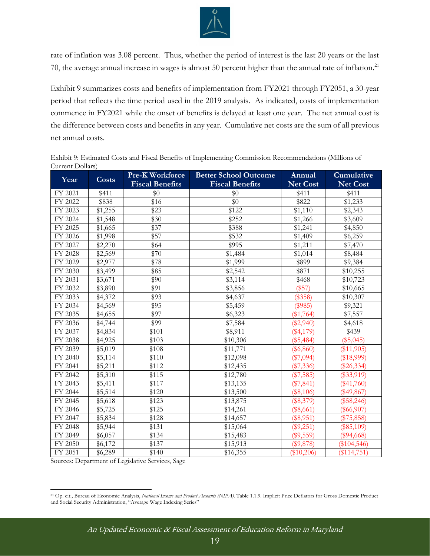

rate of inflation was 3.08 percent. Thus, whether the period of interest is the last 20 years or the last 70, the average annual increase in wages is almost 50 percent higher than the annual rate of inflation.<sup>21</sup>

Exhibit 9 summarizes costs and benefits of implementation from FY2021 through FY2051, a 30-year period that reflects the time period used in the 2019 analysis. As indicated, costs of implementation commence in FY2021 while the onset of benefits is delayed at least one year. The net annual cost is the difference between costs and benefits in any year. Cumulative net costs are the sum of all previous net annual costs.

<span id="page-18-0"></span>Exhibit 9: Estimated Costs and Fiscal Benefits of Implementing Commission Recommendations (Millions of Current Dollars)

|         |         | <b>Pre-K Workforce</b> | <b>Better School Outcome</b> | Annual          | Cumulative      |
|---------|---------|------------------------|------------------------------|-----------------|-----------------|
| Year    | Costs   | <b>Fiscal Benefits</b> | <b>Fiscal Benefits</b>       | <b>Net Cost</b> | <b>Net Cost</b> |
| FY 2021 | \$411   | \$0                    | \$0                          | \$411           | \$411           |
| FY 2022 | \$838   | \$16                   | \$0                          | \$822           | \$1,233         |
| FY 2023 | \$1,255 | \$23                   | \$122                        | \$1,110         | \$2,343         |
| FY 2024 | \$1,548 | \$30                   | \$252                        | \$1,266         | \$3,609         |
| FY 2025 | \$1,665 | \$37                   | \$388                        | \$1,241         | \$4,850         |
| FY 2026 | \$1,998 | \$57                   | \$532                        | \$1,409         | \$6,259         |
| FY 2027 | \$2,270 | \$64                   | \$995                        | \$1,211         | \$7,470         |
| FY 2028 | \$2,569 | \$70                   | \$1,484                      | \$1,014         | \$8,484         |
| FY 2029 | \$2,977 | \$78                   | \$1,999                      | \$899           | \$9,384         |
| FY 2030 | \$3,499 | \$85                   | \$2,542                      | \$871           | \$10,255        |
| FY 2031 | \$3,671 | \$90                   | \$3,114                      | \$468           | \$10,723        |
| FY 2032 | \$3,890 | \$91                   | \$3,856                      | (\$57)          | \$10,665        |
| FY 2033 | \$4,372 | \$93                   | \$4,637                      | (\$358)         | \$10,307        |
| FY 2034 | \$4,569 | \$95                   | \$5,459                      | (\$985)         | \$9,321         |
| FY 2035 | \$4,655 | \$97                   | \$6,323                      | $(\$1,764)$     | \$7,557         |
| FY 2036 | \$4,744 | \$99                   | \$7,584                      | $(\$2,940)$     | \$4,618         |
| FY 2037 | \$4,834 | \$101                  | \$8,911                      | $(\$4,179)$     | \$439           |
| FY 2038 | \$4,925 | \$103                  | \$10,306                     | $(\$5,484)$     | $(\$5,045)$     |
| FY 2039 | \$5,019 | \$108                  | \$11,771                     | $(\$6,860)$     | (\$11,905)      |
| FY 2040 | \$5,114 | \$110                  | \$12,098                     | $(\$7,094)$     | (\$18,999)      |
| FY 2041 | \$5,211 | \$112                  | \$12,435                     | $(\$7,336)$     | $(\$26,334)$    |
| FY 2042 | \$5,310 | \$115                  | \$12,780                     | $(\$7,585)$     | $(\$33,919)$    |
| FY 2043 | \$5,411 | \$117                  | \$13,135                     | $(\$7,841)$     | $(\$41,760)$    |
| FY 2044 | \$5,514 | \$120                  | \$13,500                     | (\$8,106)       | $(\$49,867)$    |
| FY 2045 | \$5,618 | \$123                  | \$13,875                     | (\$8,379)       | $(\$58,246)$    |
| FY 2046 | \$5,725 | \$125                  | \$14,261                     | $(\$8,661)$     | $(\$66,907)$    |
| FY 2047 | \$5,834 | \$128                  | \$14,657                     | $(\$8,951)$     | (\$75,858)      |
| FY 2048 | \$5,944 | \$131                  | \$15,064                     | $(\$9,251)$     | (\$85,109)      |
| FY 2049 | \$6,057 | \$134                  | \$15,483                     | $(\$9,559)$     | $(\$94,668)$    |
| FY 2050 | \$6,172 | \$137                  | \$15,913                     | (\$9,878)       | $(\$104,546)$   |
| FY 2051 | \$6,289 | \$140                  | \$16,355                     | (\$10,206)      | (\$114,751)     |

<sup>21</sup> Op. cit., Bureau of Economic Analysis, *National Income and Product Accounts (NIPA)*. Table 1.1.9. Implicit Price Deflators for Gross Domestic Product and Social Security Administration, "Average Wage Indexing Series"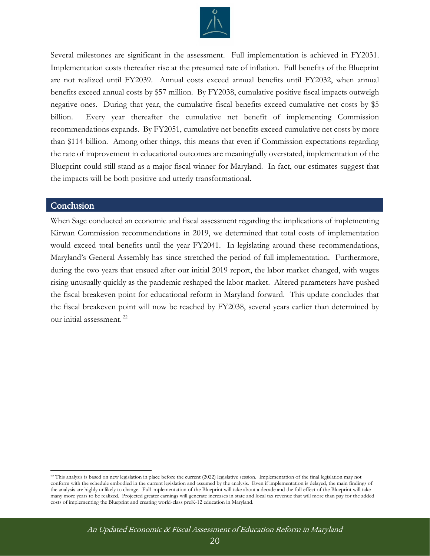

<span id="page-19-0"></span>Several milestones are significant in the assessment. Full implementation is achieved in FY2031. Implementation costs thereafter rise at the presumed rate of inflation. Full benefits of the Blueprint are not realized until FY2039. Annual costs exceed annual benefits until FY2032, when annual benefits exceed annual costs by \$57 million. By FY2038, cumulative positive fiscal impacts outweigh negative ones. During that year, the cumulative fiscal benefits exceed cumulative net costs by \$5 billion. Every year thereafter the cumulative net benefit of implementing Commission recommendations expands. By FY2051, cumulative net benefits exceed cumulative net costs by more than \$114 billion. Among other things, this means that even if Commission expectations regarding the rate of improvement in educational outcomes are meaningfully overstated, implementation of the Blueprint could still stand as a major fiscal winner for Maryland. In fact, our estimates suggest that the impacts will be both positive and utterly transformational.

#### **Conclusion**

<span id="page-19-1"></span>When Sage conducted an economic and fiscal assessment regarding the implications of implementing Kirwan Commission recommendations in 2019, we determined that total costs of implementation would exceed total benefits until the year FY2041. In legislating around these recommendations, Maryland's General Assembly has since stretched the period of full implementation. Furthermore, during the two years that ensued after our initial 2019 report, the labor market changed, with wages rising unusually quickly as the pandemic reshaped the labor market. Altered parameters have pushed the fiscal breakeven point for educational reform in Maryland forward. This update concludes that the fiscal breakeven point will now be reached by FY2038, several years earlier than determined by our initial assessment. <sup>22</sup>

<sup>&</sup>lt;sup>22</sup> This analysis is based on new legislation in place before the current (2022) legislative session. Implementation of the final legislation may not conform with the schedule embodied in the current legislation and assumed by the analysis. Even if implementation is delayed, the main findings of the analysis are highly unlikely to change. Full implementation of the Blueprint will take about a decade and the full effect of the Blueprint will take many more years to be realized. Projected greater earnings will generate increases in state and local tax revenue that will more than pay for the added costs of implementing the Blueprint and creating world-class preK-12 education in Maryland.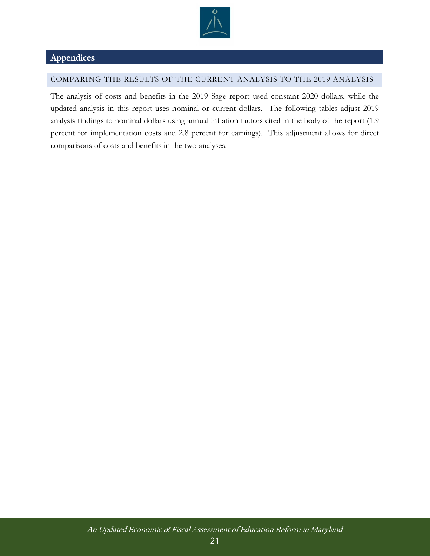

## Appendices

#### COMPARING THE RESULTS OF THE CURRENT ANALYSIS TO THE 2019 ANALYSIS

The analysis of costs and benefits in the 2019 Sage report used constant 2020 dollars, while the updated analysis in this report uses nominal or current dollars. The following tables adjust 2019 analysis findings to nominal dollars using annual inflation factors cited in the body of the report (1.9 percent for implementation costs and 2.8 percent for earnings). This adjustment allows for direct comparisons of costs and benefits in the two analyses.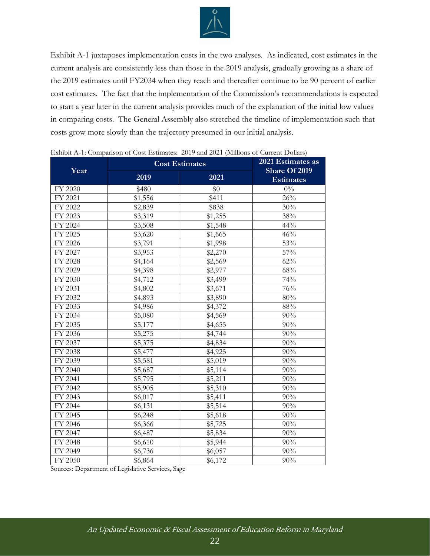

Exhibit A-1 juxtaposes implementation costs in the two analyses. As indicated, cost estimates in the current analysis are consistently less than those in the 2019 analysis, gradually growing as a share of the 2019 estimates until FY2034 when they reach and thereafter continue to be 90 percent of earlier cost estimates. The fact that the implementation of the Commission's recommendations is expected to start a year later in the current analysis provides much of the explanation of the initial low values in comparing costs. The General Assembly also stretched the timeline of implementation such that costs grow more slowly than the trajectory presumed in our initial analysis.

| Year    | <b>Cost Estimates</b> | 2021 Estimates as<br>Share Of 2019 |                  |
|---------|-----------------------|------------------------------------|------------------|
|         | 2019                  | 2021                               | <b>Estimates</b> |
| FY 2020 | \$480                 | \$0                                | $0\%$            |
| FY 2021 | \$1,556               | \$411                              | 26%              |
| FY 2022 | \$2,839               | \$838                              | 30%              |
| FY 2023 | \$3,319               | \$1,255                            | 38%              |
| FY 2024 | \$3,508               | \$1,548                            | 44%              |
| FY 2025 | \$3,620               | \$1,665                            | 46%              |
| FY 2026 | \$3,791               | \$1,998                            | 53%              |
| FY 2027 | \$3,953               | \$2,270                            | 57%              |
| FY 2028 | \$4,164               | \$2,569                            | 62%              |
| FY 2029 | \$4,398               | \$2,977                            | 68%              |
| FY 2030 | \$4,712               | \$3,499                            | 74%              |
| FY 2031 | \$4,802               | \$3,671                            | 76%              |
| FY 2032 | \$4,893               | \$3,890                            | 80%              |
| FY 2033 | \$4,986               | \$4,372                            | 88%              |
| FY 2034 | \$5,080               | \$4,569                            | 90%              |
| FY 2035 | \$5,177               | \$4,655                            | 90%              |
| FY 2036 | \$5,275               | \$4,744                            | 90%              |
| FY 2037 | \$5,375               | \$4,834                            | 90%              |
| FY 2038 | \$5,477               | \$4,925                            | 90%              |
| FY 2039 | \$5,581               | \$5,019                            | 90%              |
| FY 2040 | \$5,687               | \$5,114                            | 90%              |
| FY 2041 | \$5,795               | \$5,211                            | 90%              |
| FY 2042 | \$5,905               | \$5,310                            | 90%              |
| FY 2043 | \$6,017               | \$5,411                            | 90%              |
| FY 2044 | \$6,131               | \$5,514                            | 90%              |
| FY 2045 | \$6,248               | \$5,618                            | 90%              |
| FY 2046 | \$6,366               | \$5,725                            | 90%              |
| FY 2047 | \$6,487               | \$5,834                            | 90%              |
| FY 2048 | \$6,610               | \$5,944                            | 90%              |
| FY 2049 | \$6,736               | \$6,057                            | 90%              |
| FY 2050 | \$6,864               | \$6,172                            | 90%              |

<span id="page-21-0"></span>Exhibit A-1: Comparison of Cost Estimates: 2019 and 2021 (Millions of Current Dollars)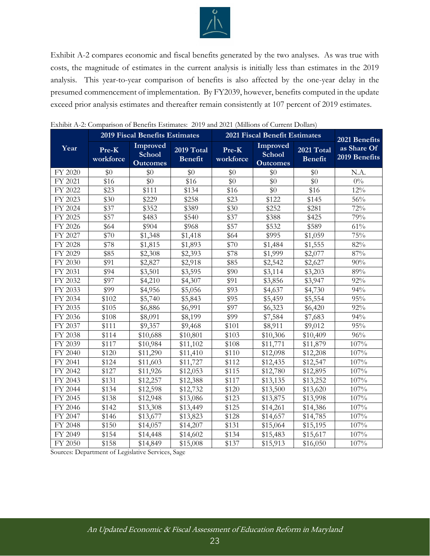

Exhibit A-2 compares economic and fiscal benefits generated by the two analyses. As was true with costs, the magnitude of estimates in the current analysis is initially less than estimates in the 2019 analysis. This year-to-year comparison of benefits is also affected by the one-year delay in the presumed commencement of implementation. By FY2039, however, benefits computed in the update exceed prior analysis estimates and thereafter remain consistently at 107 percent of 2019 estimates.

|         | <b>2019 Fiscal Benefits Estimates</b>    |                                              | <b>2021 Fiscal Benefit Estimates</b> | 2021 Benefits      |                                              |                              |                              |
|---------|------------------------------------------|----------------------------------------------|--------------------------------------|--------------------|----------------------------------------------|------------------------------|------------------------------|
| Year    | $\overline{\mathbf{Pre-K}}$<br>workforce | Improved<br><b>School</b><br><b>Outcomes</b> | 2019 Total<br><b>Benefit</b>         | Pre-K<br>workforce | Improved<br><b>School</b><br><b>Outcomes</b> | 2021 Total<br><b>Benefit</b> | as Share Of<br>2019 Benefits |
| FY 2020 | \$0                                      | \$0                                          | \$0                                  | \$0                | \$0                                          | \$0                          | N.A.                         |
| FY 2021 | \$16                                     | \$0                                          | \$16                                 | \$0                | \$0                                          | $\overline{50}$              | $0\%$                        |
| FY 2022 | \$23                                     | \$111                                        | \$134                                | \$16               | \$0                                          | \$16                         | $12\%$                       |
| FY 2023 | \$30                                     | \$229                                        | \$258                                | \$23               | \$122                                        | \$145                        | $56\%$                       |
| FY 2024 | \$37                                     | \$352                                        | \$389                                | \$30               | \$252                                        | \$281                        | 72%                          |
| FY 2025 | \$57                                     | \$483                                        | \$540                                | \$37               | \$388                                        | \$425                        | 79%                          |
| FY 2026 | \$64                                     | \$904                                        | \$968                                | \$57               | \$532                                        | \$589                        | 61%                          |
| FY 2027 | \$70                                     | \$1,348                                      | \$1,418                              | \$64               | \$995                                        | \$1,059                      | 75%                          |
| FY 2028 | \$78                                     | \$1,815                                      | \$1,893                              | \$70               | \$1,484                                      | \$1,555                      | 82%                          |
| FY 2029 | \$85                                     | \$2,308                                      | \$2,393                              | \$78               | \$1,999                                      | \$2,077                      | 87%                          |
| FY 2030 | \$91                                     | \$2,827                                      | \$2,918                              | \$85               | \$2,542                                      | \$2,627                      | 90%                          |
| FY 2031 | \$94                                     | \$3,501                                      | \$3,595                              | \$90               | \$3,114                                      | \$3,203                      | 89%                          |
| FY 2032 | \$97                                     | \$4,210                                      | \$4,307                              | \$91               | \$3,856                                      | \$3,947                      | 92%                          |
| FY 2033 | \$99                                     | \$4,956                                      | \$5,056                              | \$93               | \$4,637                                      | \$4,730                      | 94%                          |
| FY 2034 | \$102                                    | \$5,740                                      | \$5,843                              | \$95               | \$5,459                                      | \$5,554                      | 95%                          |
| FY 2035 | \$105                                    | \$6,886                                      | \$6,991                              | \$97               | \$6,323                                      | \$6,420                      | 92%                          |
| FY 2036 | \$108                                    | \$8,091                                      | \$8,199                              | \$99               | \$7,584                                      | \$7,683                      | 94%                          |
| FY 2037 | \$111                                    | \$9,357                                      | \$9,468                              | \$101              | \$8,911                                      | \$9,012                      | 95%                          |
| FY 2038 | \$114                                    | \$10,688                                     | \$10,801                             | \$103              | \$10,306                                     | \$10,409                     | 96%                          |
| FY 2039 | \$117                                    | \$10,984                                     | \$11,102                             | \$108              | \$11,771                                     | \$11,879                     | 107%                         |
| FY 2040 | \$120                                    | \$11,290                                     | \$11,410                             | \$110              | \$12,098                                     | \$12,208                     | 107%                         |
| FY 2041 | \$124                                    | \$11,603                                     | \$11,727                             | \$112              | \$12,435                                     | \$12,547                     | 107%                         |
| FY 2042 | \$127                                    | \$11,926                                     | \$12,053                             | \$115              | \$12,780                                     | \$12,895                     | 107%                         |
| FY 2043 | \$131                                    | \$12,257                                     | \$12,388                             | \$117              | \$13,135                                     | \$13,252                     | 107%                         |
| FY 2044 | \$134                                    | \$12,598                                     | \$12,732                             | \$120              | \$13,500                                     | \$13,620                     | 107%                         |
| FY 2045 | \$138                                    | \$12,948                                     | \$13,086                             | \$123              | \$13,875                                     | \$13,998                     | 107%                         |
| FY 2046 | \$142                                    | \$13,308                                     | \$13,449                             | \$125              | \$14,261                                     | \$14,386                     | 107%                         |
| FY 2047 | \$146                                    | \$13,677                                     | \$13,823                             | \$128              | \$14,657                                     | \$14,785                     | 107%                         |
| FY 2048 | \$150                                    | \$14,057                                     | \$14,207                             | \$131              | \$15,064                                     | \$15,195                     | 107%                         |
| FY 2049 | \$154                                    | \$14,448                                     | \$14,602                             | \$134              | \$15,483                                     | \$15,617                     | 107%                         |
| FY 2050 | \$158                                    | \$14,849                                     | \$15,008                             | \$137              | \$15,913                                     | \$16,050                     | 107%                         |

<span id="page-22-0"></span>

| Exhibit A-2: Comparison of Benefits Estimates: 2019 and 2021 (Millions of Current Dollars) |  |  |
|--------------------------------------------------------------------------------------------|--|--|
|                                                                                            |  |  |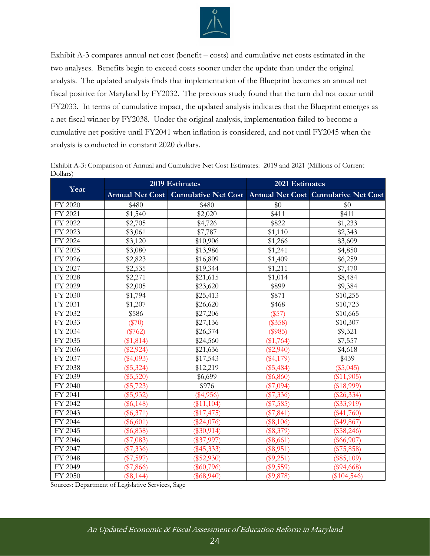

Exhibit A-3 compares annual net cost (benefit – costs) and cumulative net costs estimated in the two analyses. Benefits begin to exceed costs sooner under the update than under the original analysis. The updated analysis finds that implementation of the Blueprint becomes an annual net fiscal positive for Maryland by FY2032. The previous study found that the turn did not occur until FY2033. In terms of cumulative impact, the updated analysis indicates that the Blueprint emerges as a net fiscal winner by FY2038. Under the original analysis, implementation failed to become a cumulative net positive until FY2041 when inflation is considered, and not until FY2045 when the analysis is conducted in constant 2020 dollars.

<span id="page-23-0"></span>Exhibit A-3: Comparison of Annual and Cumulative Net Cost Estimates: 2019 and 2021 (Millions of Current Dollars)

|         |             | 2019 Estimates                                                          | 2021 Estimates |               |  |
|---------|-------------|-------------------------------------------------------------------------|----------------|---------------|--|
| Year    |             | Annual Net Cost Cumulative Net Cost Annual Net Cost Cumulative Net Cost |                |               |  |
| FY 2020 | \$480       | \$480                                                                   | \$0            | \$0           |  |
| FY 2021 | \$1,540     | \$2,020                                                                 | \$411          | \$411         |  |
| FY 2022 | \$2,705     | \$4,726                                                                 | \$822          | \$1,233       |  |
| FY 2023 | \$3,061     | \$7,787                                                                 | \$1,110        | \$2,343       |  |
| FY 2024 | \$3,120     | \$10,906                                                                | \$1,266        | \$3,609       |  |
| FY 2025 | \$3,080     | \$13,986                                                                | \$1,241        | \$4,850       |  |
| FY 2026 | \$2,823     | \$16,809                                                                | \$1,409        | \$6,259       |  |
| FY 2027 | \$2,535     | \$19,344                                                                | \$1,211        | \$7,470       |  |
| FY 2028 | \$2,271     | \$21,615                                                                | \$1,014        | \$8,484       |  |
| FY 2029 | \$2,005     | \$23,620                                                                | \$899          | \$9,384       |  |
| FY 2030 | \$1,794     | \$25,413                                                                | \$871          | \$10,255      |  |
| FY 2031 | \$1,207     | \$26,620                                                                | \$468          | \$10,723      |  |
| FY 2032 | \$586       | \$27,206                                                                | (\$57)         | \$10,665      |  |
| FY 2033 | $(\$70)$    | \$27,136                                                                | (\$358)        | \$10,307      |  |
| FY 2034 | $(\$762)$   | \$26,374                                                                | (\$985)        | \$9,321       |  |
| FY 2035 | (\$1,814)   | \$24,560                                                                | (\$1,764)      | \$7,557       |  |
| FY 2036 | $(\$2,924)$ | \$21,636                                                                | $(\$2,940)$    | \$4,618       |  |
| FY 2037 | $(\$4,093)$ | \$17,543                                                                | $(\$4,179)$    | \$439         |  |
| FY 2038 | (\$5,324)   | \$12,219                                                                | $(\$5,484)$    | $(\$5,045)$   |  |
| FY 2039 | $(\$5,520)$ | \$6,699                                                                 | $(\$6,860)$    | (\$11,905)    |  |
| FY 2040 | $(\$5,723)$ | \$976                                                                   | $(\$7,094)$    | (\$18,999)    |  |
| FY 2041 | $(\$5,932)$ | $(\$4,956)$                                                             | $(\$7,336)$    | $(\$26,334)$  |  |
| FY 2042 | $(\$6,148)$ | (\$11,104)                                                              | $(\$7,585)$    | $(\$33,919)$  |  |
| FY 2043 | $(\$6,371)$ | (\$17,475)                                                              | $(\$7,841)$    | $(\$41,760)$  |  |
| FY 2044 | $(\$6,601)$ | $(\$24,076)$                                                            | $(\$8,106)$    | $(\$49,867)$  |  |
| FY 2045 | $(\$6,838)$ | $(\$30,914)$                                                            | $(\$8,379)$    | $(\$58,246)$  |  |
| FY 2046 | $(\$7,083)$ | $(\$37,997)$                                                            | $(\$8,661)$    | $(\$66,907)$  |  |
| FY 2047 | $(\$7,336)$ | $(\$45,333)$                                                            | $(\$8,951)$    | (\$75,858)    |  |
| FY 2048 | $(\$7,597)$ | (\$52,930)                                                              | (\$9,251)      | $(\$85,109)$  |  |
| FY 2049 | $(\$7,866)$ | $(\$60,796)$                                                            | $(\$9,559)$    | $(\$94,668)$  |  |
| FY 2050 | $(\$8,144)$ | $(\$68,940)$                                                            | $(\$9,878)$    | $(\$104,546)$ |  |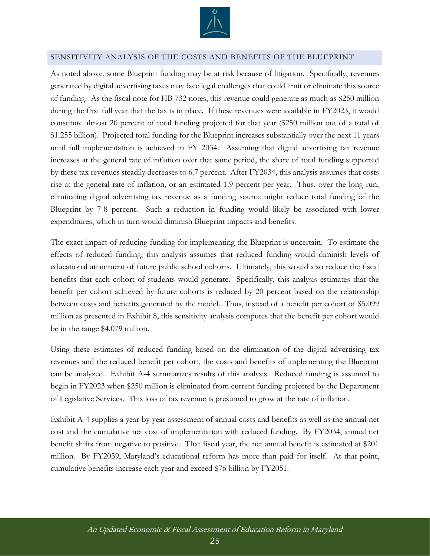

#### <span id="page-24-0"></span>SENSITIVITY ANALYSIS OF THE COSTS AND BENEFITS OF THE BLUEPRINT

As noted above, some Blueprint funding may be at risk because of litigation. Specifically, revenues generated by digital advertising taxes may face legal challenges that could limit or eliminate this source of funding. As the fiscal note for HB 732 notes, this revenue could generate as much as \$250 million during the first full year that the tax is in place. If these revenues were available in FY2023, it would constitute almost 20 percent of total funding projected for that year (\$250 million out of a total of \$1.255 billion). Projected total funding for the Blueprint increases substantially over the next 11 years until full implementation is achieved in FY 2034. Assuming that digital advertising tax revenue increases at the general rate of inflation over that same period, the share of total funding supported by these tax revenues steadily decreases to 6.7 percent. After FY2034, this analysis assumes that costs rise at the general rate of inflation, or an estimated 1.9 percent per year. Thus, over the long run, eliminating digital advertising tax revenue as a funding source might reduce total funding of the Blueprint by 7-8 percent. Such a reduction in funding would likely be associated with lower expenditures, which in turn would diminish Blueprint impacts and benefits.

The exact impact of reducing funding for implementing the Blueprint is uncertain. To estimate the effects of reduced funding, this analysis assumes that reduced funding would diminish levels of educational attainment of future public school cohorts. Ultimately, this would also reduce the fiscal benefits that each cohort of students would generate. Specifically, this analysis estimates that the benefit per cohort achieved by future cohorts is reduced by 20 percent based on the relationship between costs and benefits generated by the model. Thus, instead of a benefit per cohort of \$5.099 million as presented in Exhibit 8, this sensitivity analysis computes that the benefit per cohort would be in the range \$4.079 million.

Using these estimates of reduced funding based on the elimination of the digital advertising tax revenues and the reduced benefit per cohort, the costs and benefits of implementing the Blueprint can be analyzed. Exhibit A-4 summarizes results of this analysis. Reduced funding is assumed to begin in FY2023 when \$250 million is eliminated from current funding projected by the Department of Legislative Services. This loss of tax revenue is presumed to grow at the rate of inflation.

Exhibit A-4 supplies a year-by-year assessment of annual costs and benefits as well as the annual net cost and the cumulative net cost of implementation with reduced funding. By FY2034, annual net benefit shifts from negative to positive. That fiscal year, the net annual benefit is estimated at \$201 million. By FY2039, Maryland's educational reform has more than paid for itself. At that point, cumulative benefits increase each year and exceed \$76 billion by FY2051.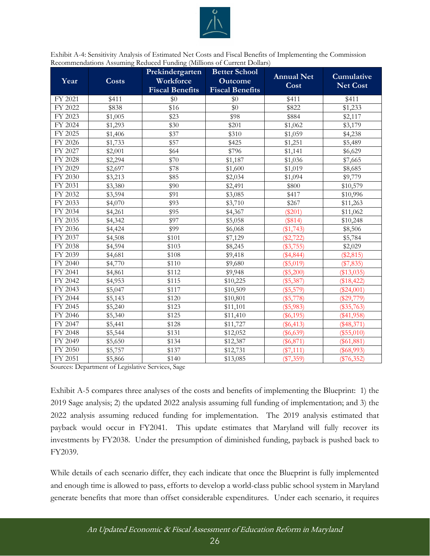

<span id="page-25-0"></span>Exhibit A-4: Sensitivity Analysis of Estimated Net Costs and Fiscal Benefits of Implementing the Commission Recommendations Assuming Reduced Funding (Millions of Current Dollars)

| Year    | <b>Costs</b> | Prekindergarten<br>Workforce<br><b>Fiscal Benefits</b> | <b>Better School</b><br><b>Outcome</b><br><b>Fiscal Benefits</b> | <b>Annual Net</b><br>Cost | Cumulative<br><b>Net Cost</b> |
|---------|--------------|--------------------------------------------------------|------------------------------------------------------------------|---------------------------|-------------------------------|
| FY 2021 | \$411        | \$0                                                    | \$0                                                              | \$411                     | \$411                         |
| FY 2022 | \$838        | \$16                                                   | \$0                                                              | \$822                     | \$1,233                       |
| FY 2023 | \$1,005      | \$23                                                   | \$98                                                             | \$884                     | \$2,117                       |
| FY 2024 | \$1,293      | \$30                                                   | \$201                                                            | \$1,062                   | \$3,179                       |
| FY 2025 | \$1,406      | \$37                                                   | \$310                                                            | \$1,059                   | \$4,238                       |
| FY 2026 | \$1,733      | \$57                                                   | \$425                                                            | \$1,251                   | \$5,489                       |
| FY 2027 | \$2,001      | \$64                                                   | \$796                                                            | \$1,141                   | \$6,629                       |
| FY 2028 | \$2,294      | \$70                                                   | \$1,187                                                          | \$1,036                   | \$7,665                       |
| FY 2029 | \$2,697      | \$78                                                   | \$1,600                                                          | \$1,019                   | \$8,685                       |
| FY 2030 | \$3,213      | \$85                                                   | \$2,034                                                          | \$1,094                   | \$9,779                       |
| FY 2031 | \$3,380      | \$90                                                   | \$2,491                                                          | \$800                     | \$10,579                      |
| FY 2032 | \$3,594      | \$91                                                   | \$3,085                                                          | \$417                     | \$10,996                      |
| FY 2033 | \$4,070      | \$93                                                   | \$3,710                                                          | \$267                     | \$11,263                      |
| FY 2034 | \$4,261      | \$95                                                   | \$4,367                                                          | $(\$201)$                 | \$11,062                      |
| FY 2035 | \$4,342      | \$97                                                   | \$5,058                                                          | (\$814)                   | \$10,248                      |
| FY 2036 | \$4,424      | \$99                                                   | \$6,068                                                          | (\$1,743)                 | \$8,506                       |
| FY 2037 | \$4,508      | \$101                                                  | \$7,129                                                          | $(\$2,722)$               | \$5,784                       |
| FY 2038 | \$4,594      | \$103                                                  | \$8,245                                                          | $(\$3,755)$               | \$2,029                       |
| FY 2039 | \$4,681      | \$108                                                  | \$9,418                                                          | $(\$4,844)$               | $(\$2,815)$                   |
| FY 2040 | \$4,770      | \$110                                                  | \$9,680                                                          | (\$5,019)                 | $(\$7,835)$                   |
| FY 2041 | \$4,861      | \$112                                                  | \$9,948                                                          | $(\$5,200)$               | (\$13,035)                    |
| FY 2042 | \$4,953      | \$115                                                  | \$10,225                                                         | $(\$5,387)$               | (\$18,422)                    |
| FY 2043 | \$5,047      | \$117                                                  | \$10,509                                                         | $(\$5,579)$               | $(\$24,001)$                  |
| FY 2044 | \$5,143      | \$120                                                  | \$10,801                                                         | $(\$5,778)$               | $(\$29,779)$                  |
| FY 2045 | \$5,240      | \$123                                                  | \$11,101                                                         | $(\$5,983)$               | $(\$35,763)$                  |
| FY 2046 | \$5,340      | \$125                                                  | \$11,410                                                         | $(\$6,195)$               | $(\$41,958)$                  |
| FY 2047 | \$5,441      | \$128                                                  | \$11,727                                                         | $(\$6,413)$               | $(\$48,371)$                  |
| FY 2048 | \$5,544      | \$131                                                  | \$12,052                                                         | $(\$6,639)$               | $(\$55,010)$                  |
| FY 2049 | \$5,650      | \$134                                                  | \$12,387                                                         | $(\$6,871)$               | $(\$61,881)$                  |
| FY 2050 | \$5,757      | \$137                                                  | \$12,731                                                         | $(\$7,111)$               | $(\$68,993)$                  |
| FY 2051 | \$5,866      | \$140                                                  | \$13,085                                                         | $(\$7,359)$               | $(\$76,352)$                  |

Sources: Department of Legislative Services, Sage

Exhibit A-5 compares three analyses of the costs and benefits of implementing the Blueprint: 1) the 2019 Sage analysis; 2) the updated 2022 analysis assuming full funding of implementation; and 3) the 2022 analysis assuming reduced funding for implementation. The 2019 analysis estimated that payback would occur in FY2041. This update estimates that Maryland will fully recover its investments by FY2038. Under the presumption of diminished funding, payback is pushed back to FY2039.

While details of each scenario differ, they each indicate that once the Blueprint is fully implemented and enough time is allowed to pass, efforts to develop a world-class public school system in Maryland generate benefits that more than offset considerable expenditures. Under each scenario, it requires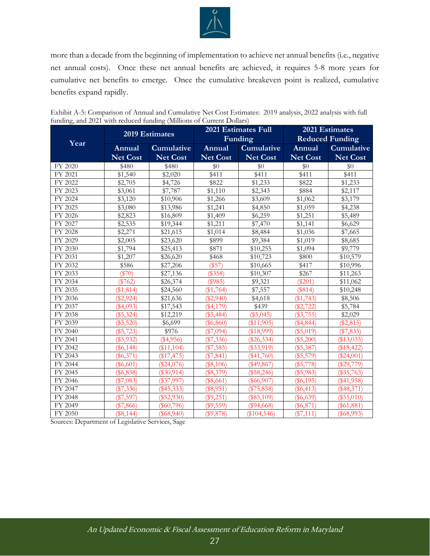

more than a decade from the beginning of implementation to achieve net annual benefits (i.e., negative net annual costs). Once these net annual benefits are achieved, it requires 5-8 more years for cumulative net benefits to emerge. Once the cumulative breakeven point is realized, cumulative benefits expand rapidly.

|         | 2019 Estimates                                |                     |                 | 2021 Estimates Full | 2021 Estimates  |                        |
|---------|-----------------------------------------------|---------------------|-----------------|---------------------|-----------------|------------------------|
|         |                                               |                     |                 | Funding             |                 | <b>Reduced Funding</b> |
| Year    | Annual                                        | Cumulative          | Annual          | Cumulative          | Annual          | <b>Cumulative</b>      |
|         | <b>Net Cost</b>                               | <b>Net Cost</b>     | <b>Net Cost</b> | <b>Net Cost</b>     | <b>Net Cost</b> | <b>Net Cost</b>        |
| FY 2020 | \$480                                         | \$480               | \$0             | \$0                 | \$0             | \$0                    |
| FY 2021 | \$1,540                                       | $\overline{$}2,020$ | \$411           | \$411               | \$411           | \$411                  |
| FY 2022 | \$2,705                                       | \$4,726             | \$822           | \$1,233             | \$822           | \$1,233                |
| FY 2023 | \$3,061                                       | \$7,787             | \$1,110         | \$2,343             | \$884           | \$2,117                |
| FY 2024 | \$3,120                                       | \$10,906            | \$1,266         | \$3,609             | \$1,062         | \$3,179                |
| FY 2025 | \$3,080                                       | \$13,986            | \$1,241         | \$4,850             | \$1,059         | \$4,238                |
| FY 2026 | \$2,823                                       | \$16,809            | \$1,409         | \$6,259             | \$1,251         | \$5,489                |
| FY 2027 | \$2,535                                       | \$19,344            | \$1,211         | \$7,470             | \$1,141         | \$6,629                |
| FY 2028 | \$2,271                                       | \$21,615            | \$1,014         | \$8,484             | \$1,036         | \$7,665                |
| FY 2029 | \$2,005                                       | \$23,620            | \$899           | \$9,384             | \$1,019         | \$8,685                |
| FY 2030 | \$1,794                                       | \$25,413            | \$871           | \$10,255            | \$1,094         | \$9,779                |
| FY 2031 | \$1,207                                       | \$26,620            | \$468           | \$10,723            | \$800           | \$10,579               |
| FY 2032 | \$586                                         | \$27,206            | (\$57)          | \$10,665            | \$417           | \$10,996               |
| FY 2033 | $(\$70)$                                      | \$27,136            | (\$358)         | \$10,307            | \$267           | \$11,263               |
| FY 2034 | $(\$762)$                                     | \$26,374            | (\$985)         | \$9,321             | $(\$201)$       | \$11,062               |
| FY 2035 | (\$1,814)                                     | \$24,560            | (\$1,764)       | \$7,557             | (\$814)         | \$10,248               |
| FY 2036 | $(\$2,924)$                                   | \$21,636            | $(\$2,940)$     | \$4,618             | (\$1,743)       | \$8,506                |
| FY 2037 | $(\$4,093)$                                   | \$17,543            | $(\$4,179)$     | \$439               | $(\$2,722)$     | \$5,784                |
| FY 2038 | $(\$5,324)$                                   | \$12,219            | (\$5,484)       | (\$5,045)           | $(\$3,755)$     | \$2,029                |
| FY 2039 | $(\$5,520)$                                   | \$6,699             | $(\$6,860)$     | (\$11,905)          | $(\$4,844)$     | $(\$2,815)$            |
| FY 2040 | $(\$5,723)$                                   | \$976               | (\$7,094)       | (\$18,999)          | $(\$5,019)$     | (\$7,835)              |
| FY 2041 | $(\$5,932)$                                   | $(\$4,956)$         | $(\$7,336)$     | $(\$26,334)$        | $(\$5,200)$     | (\$13,035)             |
| FY 2042 | $(\$6,148)$                                   | (\$11,104)          | $(\$7,585)$     | $(\$33,919)$        | $(\$5,387)$     | (\$18,422)             |
| FY 2043 | $(\$6,371)$                                   | (\$17,475)          | $(\$7,841)$     | $(\$41,760)$        | $(\$5,579)$     | $(\$24,001)$           |
| FY 2044 | $(\$6,601)$                                   | $(\$24,076)$        | $(\$8,106)$     | $(\$49,867)$        | $(\$5,778)$     | $(\$29,779)$           |
| FY 2045 | $(\$6,838)$                                   | $(\$30,914)$        | (\$8,379)       | $(\$58,246)$        | $(\$5,983)$     | $(\$35,763)$           |
| FY 2046 | $(\$7,083)$                                   | $(\$37,997)$        | $(\$8,661)$     | $(\$66,907)$        | $(\$6,195)$     | $(\$41,958)$           |
| FY 2047 | $(\$7,336)$                                   | $(\$45,333)$        | (\$8,951)       | $(\$75,858)$        | $(\$6,413)$     | $(\$48,371)$           |
| FY 2048 | $(\$7,597)$                                   | $(\$52,930)$        | $(\$9,251)$     | $(\$85,109)$        | $(\$6,639)$     | (\$55,010)             |
| FY 2049 | $(\$7,866)$                                   | $(\$60,796)$        | $(\$9,559)$     | $(\$94,668)$        | $(\$6,871)$     | $(\$61,881)$           |
| FY 2050 | (\$8,144)<br>$\sim$ $\sim$<br>$\cdot$ $\cdot$ | $(\$68,940)$        | (\$9,878)       | $(\$104,546)$       | $(\$7,111)$     | $(\$68,993)$           |

<span id="page-26-0"></span>

| Exhibit A-5: Comparison of Annual and Cumulative Net Cost Estimates: 2019 analysis, 2022 analysis with full |  |
|-------------------------------------------------------------------------------------------------------------|--|
| funding, and 2021 with reduced funding (Millions of Current Dollars)                                        |  |